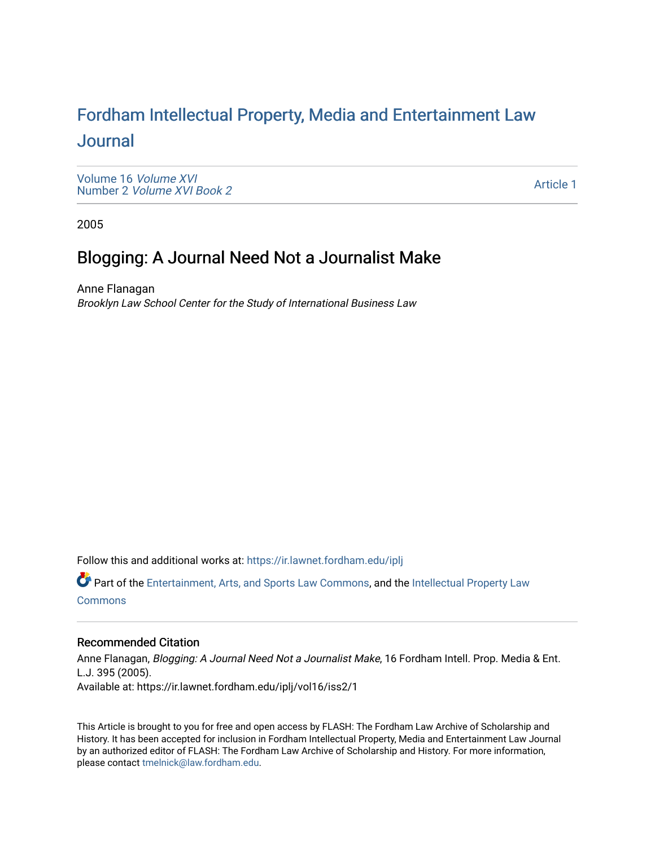# For[dham Intellectual Property, Media and Enter](https://ir.lawnet.fordham.edu/iplj)tainment Law [Journal](https://ir.lawnet.fordham.edu/iplj)

[Volume 16](https://ir.lawnet.fordham.edu/iplj/vol16) Volume XVI Number 2 [Volume XVI Book 2](https://ir.lawnet.fordham.edu/iplj/vol16/iss2)

[Article 1](https://ir.lawnet.fordham.edu/iplj/vol16/iss2/1) 

2005

## Blogging: A Journal Need Not a Journalist Make

Anne Flanagan Brooklyn Law School Center for the Study of International Business Law

Follow this and additional works at: [https://ir.lawnet.fordham.edu/iplj](https://ir.lawnet.fordham.edu/iplj?utm_source=ir.lawnet.fordham.edu%2Fiplj%2Fvol16%2Fiss2%2F1&utm_medium=PDF&utm_campaign=PDFCoverPages) 

Part of the [Entertainment, Arts, and Sports Law Commons](http://network.bepress.com/hgg/discipline/893?utm_source=ir.lawnet.fordham.edu%2Fiplj%2Fvol16%2Fiss2%2F1&utm_medium=PDF&utm_campaign=PDFCoverPages), and the [Intellectual Property Law](http://network.bepress.com/hgg/discipline/896?utm_source=ir.lawnet.fordham.edu%2Fiplj%2Fvol16%2Fiss2%2F1&utm_medium=PDF&utm_campaign=PDFCoverPages) **[Commons](http://network.bepress.com/hgg/discipline/896?utm_source=ir.lawnet.fordham.edu%2Fiplj%2Fvol16%2Fiss2%2F1&utm_medium=PDF&utm_campaign=PDFCoverPages)** 

### Recommended Citation

Anne Flanagan, Blogging: A Journal Need Not a Journalist Make, 16 Fordham Intell. Prop. Media & Ent. L.J. 395 (2005). Available at: https://ir.lawnet.fordham.edu/iplj/vol16/iss2/1

This Article is brought to you for free and open access by FLASH: The Fordham Law Archive of Scholarship and History. It has been accepted for inclusion in Fordham Intellectual Property, Media and Entertainment Law Journal by an authorized editor of FLASH: The Fordham Law Archive of Scholarship and History. For more information, please contact [tmelnick@law.fordham.edu](mailto:tmelnick@law.fordham.edu).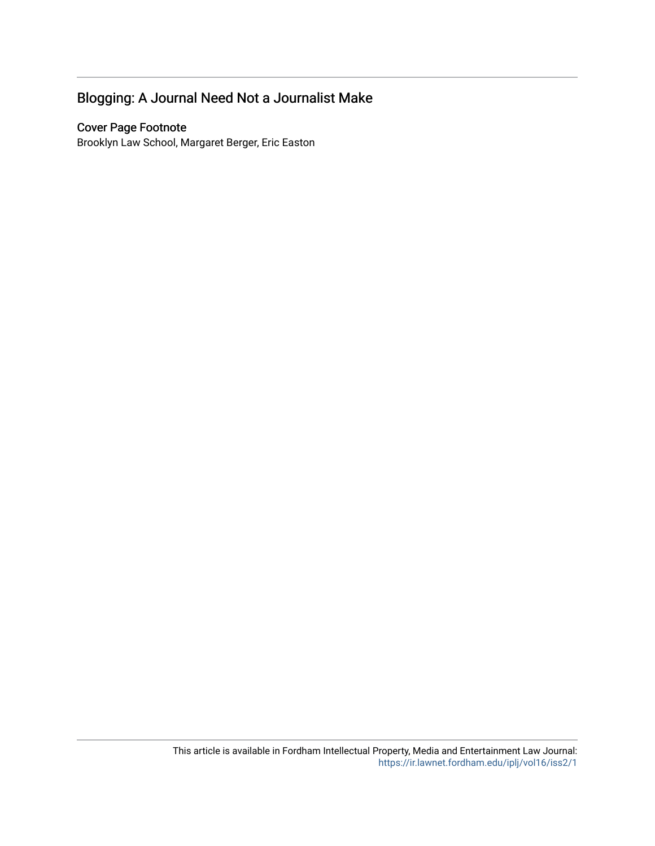## Blogging: A Journal Need Not a Journalist Make

### Cover Page Footnote

Brooklyn Law School, Margaret Berger, Eric Easton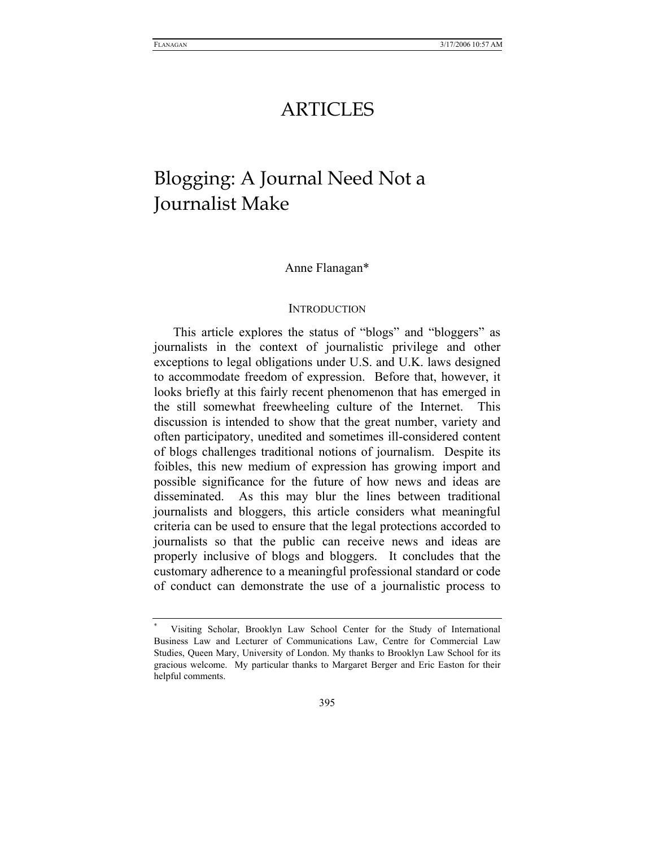## ARTICLES

# Blogging: A Journal Need Not a Journalist Make

#### Anne Flanagan\*

#### **INTRODUCTION**

This article explores the status of "blogs" and "bloggers" as journalists in the context of journalistic privilege and other exceptions to legal obligations under U.S. and U.K. laws designed to accommodate freedom of expression. Before that, however, it looks briefly at this fairly recent phenomenon that has emerged in the still somewhat freewheeling culture of the Internet. This discussion is intended to show that the great number, variety and often participatory, unedited and sometimes ill-considered content of blogs challenges traditional notions of journalism. Despite its foibles, this new medium of expression has growing import and possible significance for the future of how news and ideas are disseminated. As this may blur the lines between traditional journalists and bloggers, this article considers what meaningful criteria can be used to ensure that the legal protections accorded to journalists so that the public can receive news and ideas are properly inclusive of blogs and bloggers. It concludes that the customary adherence to a meaningful professional standard or code of conduct can demonstrate the use of a journalistic process to

<sup>\*</sup> Visiting Scholar, Brooklyn Law School Center for the Study of International Business Law and Lecturer of Communications Law, Centre for Commercial Law Studies, Queen Mary, University of London. My thanks to Brooklyn Law School for its gracious welcome. My particular thanks to Margaret Berger and Eric Easton for their helpful comments.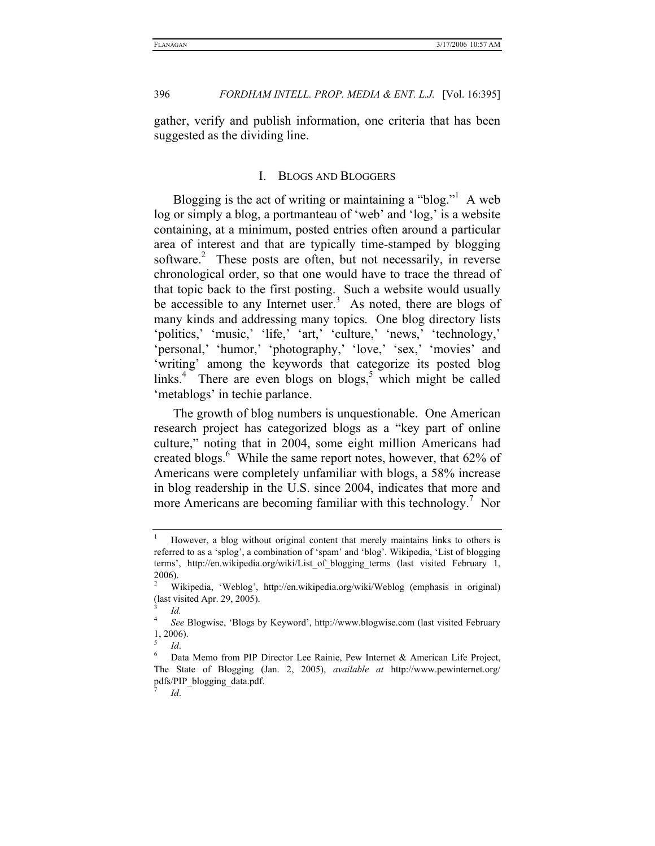gather, verify and publish information, one criteria that has been suggested as the dividing line.

### I. BLOGS AND BLOGGERS

Blogging is the act of writing or maintaining a "blog."<sup>1</sup> A web log or simply a blog, a portmanteau of 'web' and 'log,' is a website containing, at a minimum, posted entries often around a particular area of interest and that are typically time-stamped by blogging software.<sup>2</sup> These posts are often, but not necessarily, in reverse chronological order, so that one would have to trace the thread of that topic back to the first posting. Such a website would usually be accessible to any Internet user.<sup>3</sup> As noted, there are blogs of many kinds and addressing many topics. One blog directory lists 'politics,' 'music,' 'life,' 'art,' 'culture,' 'news,' 'technology,' 'personal,' 'humor,' 'photography,' 'love,' 'sex,' 'movies' and 'writing' among the keywords that categorize its posted blog links.<sup>4</sup> There are even blogs on blogs,<sup>5</sup> which might be called 'metablogs' in techie parlance.

The growth of blog numbers is unquestionable. One American research project has categorized blogs as a "key part of online culture," noting that in 2004, some eight million Americans had created blogs.<sup>6</sup> While the same report notes, however, that 62% of Americans were completely unfamiliar with blogs, a 58% increase in blog readership in the U.S. since 2004, indicates that more and more Americans are becoming familiar with this technology.7 Nor

<sup>1</sup> However, a blog without original content that merely maintains links to others is referred to as a 'splog', a combination of 'spam' and 'blog'. Wikipedia, 'List of blogging terms', http://en.wikipedia.org/wiki/List\_of\_blogging\_terms (last visited February 1, 2006).

<sup>2</sup> Wikipedia, 'Weblog', http://en.wikipedia.org/wiki/Weblog (emphasis in original) (last visited Apr. 29, 2005).

<sup>3</sup>  *Id.*

<sup>4</sup> *See* Blogwise, 'Blogs by Keyword', http://www.blogwise.com (last visited February 1, 2006).

<sup>5</sup>

<sup>&</sup>lt;sup>5</sup> *Id.*<br><sup>6</sup> Data Memo from PIP Director Lee Rainie, Pew Internet & American Life Project, The State of Blogging (Jan. 2, 2005), *available at* http://www.pewinternet.org/ pdfs/PIP\_blogging\_data.pdf. 7

*Id*.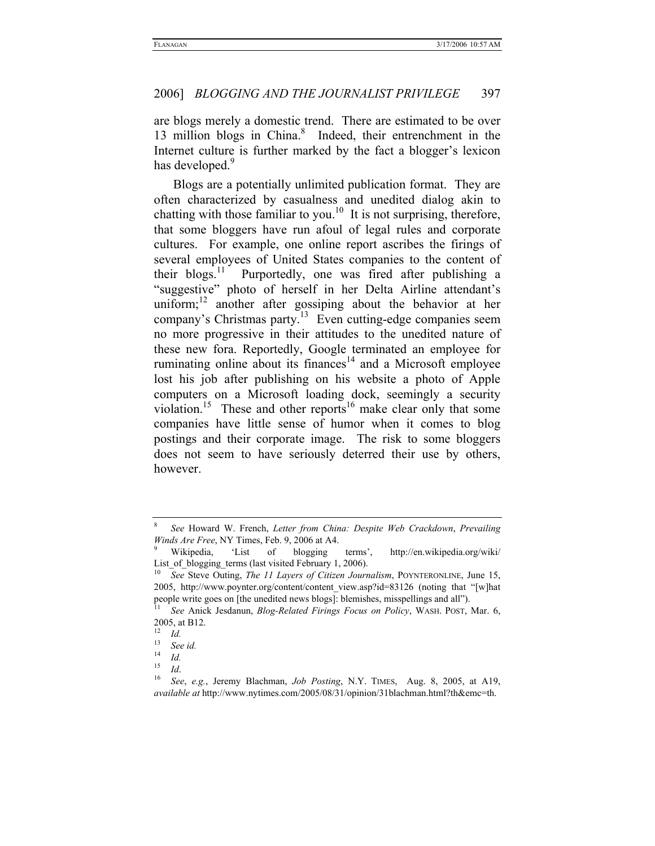are blogs merely a domestic trend. There are estimated to be over 13 million blogs in China.<sup>8</sup> Indeed, their entrenchment in the Internet culture is further marked by the fact a blogger's lexicon has developed.<sup>9</sup>

Blogs are a potentially unlimited publication format. They are often characterized by casualness and unedited dialog akin to chatting with those familiar to you.<sup>10</sup> It is not surprising, therefore, that some bloggers have run afoul of legal rules and corporate cultures. For example, one online report ascribes the firings of several employees of United States companies to the content of their blogs.<sup>11</sup> Purportedly, one was fired after publishing a "suggestive" photo of herself in her Delta Airline attendant's uniform;<sup>12</sup> another after gossiping about the behavior at her company's Christmas party.13 Even cutting-edge companies seem no more progressive in their attitudes to the unedited nature of these new fora. Reportedly, Google terminated an employee for ruminating online about its finances $14$  and a Microsoft employee lost his job after publishing on his website a photo of Apple computers on a Microsoft loading dock, seemingly a security violation.<sup>15</sup> These and other reports<sup>16</sup> make clear only that some companies have little sense of humor when it comes to blog postings and their corporate image. The risk to some bloggers does not seem to have seriously deterred their use by others, however.

<sup>8</sup> *See* Howard W. French, *Letter from China: Despite Web Crackdown*, *Prevailing Winds Are Free*, NY Times, Feb. 9, 2006 at A4.<br><sup>9</sup> Wikipedia, 'List of blogging

terms', http://en.wikipedia.org/wiki/ List\_of\_blogging\_terms (last visited February 1, 2006). 10 *See* Steve Outing, *The 11 Layers of Citizen Journalism*, POYNTERONLINE, June 15,

<sup>2005,</sup> http://www.poynter.org/content/content\_view.asp?id=83126 (noting that "[w]hat people write goes on [the unedited news blogs]: blemishes, misspellings and all"). 11 *See* Anick Jesdanun, *Blog-Related Firings Focus on Policy*, WASH. POST, Mar. 6,

<sup>2005,</sup> at B12.

 $\frac{12}{13}$  *Id.* 

<sup>13</sup> *See id.*

 $\frac{14}{15}$  *Id.* 

<sup>15</sup> *Id*. 16 *See*, *e.g.*, Jeremy Blachman, *Job Posting*, N.Y. TIMES, Aug. 8, 2005, at A19, *available at* http://www.nytimes.com/2005/08/31/opinion/31blachman.html?th&emc=th.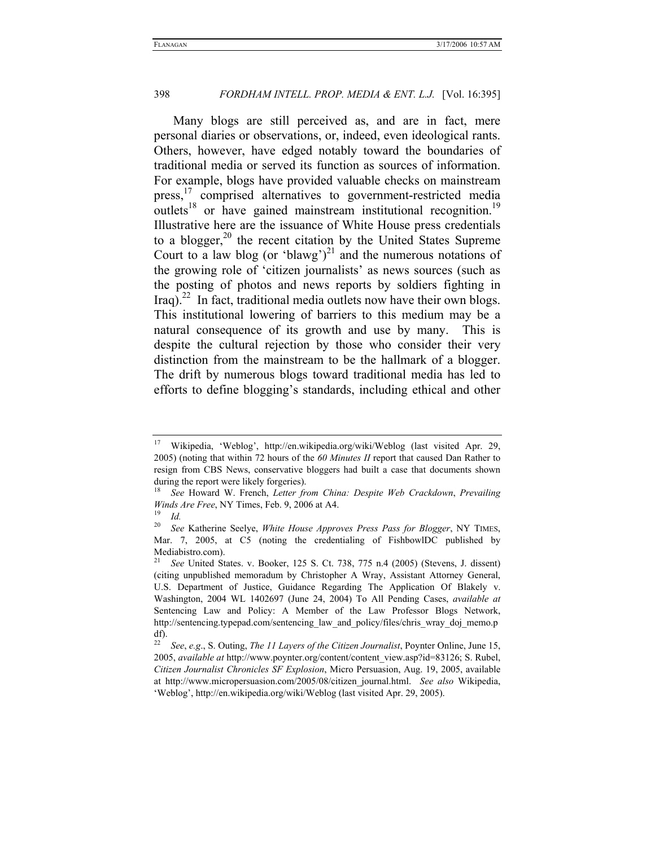Many blogs are still perceived as, and are in fact, mere personal diaries or observations, or, indeed, even ideological rants. Others, however, have edged notably toward the boundaries of traditional media or served its function as sources of information. For example, blogs have provided valuable checks on mainstream press,<sup>17</sup> comprised alternatives to government-restricted media outlets<sup>18</sup> or have gained mainstream institutional recognition.<sup>19</sup> Illustrative here are the issuance of White House press credentials to a blogger, $20$  the recent citation by the United States Supreme Court to a law blog (or 'blawg')<sup>21</sup> and the numerous notations of the growing role of 'citizen journalists' as news sources (such as the posting of photos and news reports by soldiers fighting in Iraq).<sup>22</sup> In fact, traditional media outlets now have their own blogs. This institutional lowering of barriers to this medium may be a natural consequence of its growth and use by many. This is despite the cultural rejection by those who consider their very distinction from the mainstream to be the hallmark of a blogger. The drift by numerous blogs toward traditional media has led to efforts to define blogging's standards, including ethical and other

<sup>17</sup> Wikipedia, 'Weblog', http://en.wikipedia.org/wiki/Weblog (last visited Apr. 29, 2005) (noting that within 72 hours of the *60 Minutes II* report that caused Dan Rather to resign from CBS News, conservative bloggers had built a case that documents shown during the report were likely forgeries).

<sup>18</sup> *See* Howard W. French, *Letter from China: Despite Web Crackdown*, *Prevailing Winds Are Free*, NY Times, Feb. 9, 2006 at A4.<br><sup>19</sup> *Id.*<br><sup>20</sup> See Katherine Seelve, *White House Annual* 

<sup>20</sup> *See* Katherine Seelye, *White House Approves Press Pass for Blogger*, NY TIMES, Mar. 7, 2005, at C5 (noting the credentialing of FishbowlDC published by Mediabistro.com).

See United States. v. Booker, 125 S. Ct. 738, 775 n.4 (2005) (Stevens, J. dissent) (citing unpublished memoradum by Christopher A Wray, Assistant Attorney General, U.S. Department of Justice, Guidance Regarding The Application Of Blakely v. Washington, 2004 WL 1402697 (June 24, 2004) To All Pending Cases, *available at* Sentencing Law and Policy: A Member of the Law Professor Blogs Network, http://sentencing.typepad.com/sentencing\_law\_and\_policy/files/chris\_wray\_doj\_memo.p df).

<sup>22</sup> *See*, *e.g*., S. Outing, *The 11 Layers of the Citizen Journalist*, Poynter Online, June 15, 2005, *available at* http://www.poynter.org/content/content\_view.asp?id=83126; S. Rubel, *Citizen Journalist Chronicles SF Explosion*, Micro Persuasion, Aug. 19, 2005, available at http://www.micropersuasion.com/2005/08/citizen\_journal.html. *See also* Wikipedia, 'Weblog', http://en.wikipedia.org/wiki/Weblog (last visited Apr. 29, 2005).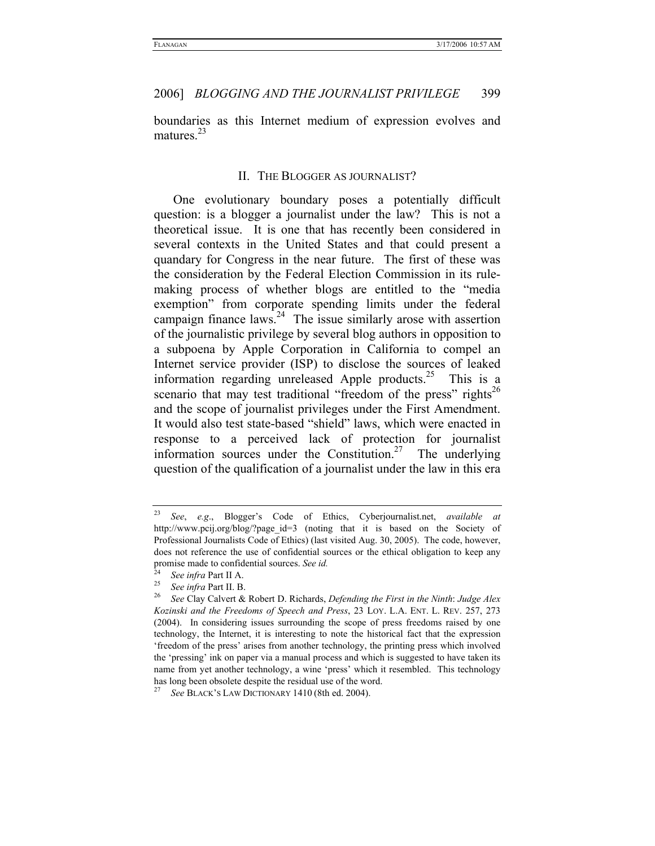boundaries as this Internet medium of expression evolves and matures.<sup>23</sup>

#### II. THE BLOGGER AS JOURNALIST?

One evolutionary boundary poses a potentially difficult question: is a blogger a journalist under the law? This is not a theoretical issue. It is one that has recently been considered in several contexts in the United States and that could present a quandary for Congress in the near future. The first of these was the consideration by the Federal Election Commission in its rulemaking process of whether blogs are entitled to the "media exemption" from corporate spending limits under the federal campaign finance laws.<sup>24</sup> The issue similarly arose with assertion of the journalistic privilege by several blog authors in opposition to a subpoena by Apple Corporation in California to compel an Internet service provider (ISP) to disclose the sources of leaked information regarding unreleased Apple products.<sup>25</sup> This is a scenario that may test traditional "freedom of the press" rights<sup>26</sup> and the scope of journalist privileges under the First Amendment. It would also test state-based "shield" laws, which were enacted in response to a perceived lack of protection for journalist information sources under the Constitution.<sup>27</sup> The underlying question of the qualification of a journalist under the law in this era

<sup>23</sup> *See*, *e.g*., Blogger's Code of Ethics, Cyberjournalist.net, *available at*  http://www.pcij.org/blog/?page\_id=3 (noting that it is based on the Society of Professional Journalists Code of Ethics) (last visited Aug. 30, 2005). The code, however, does not reference the use of confidential sources or the ethical obligation to keep any promise made to confidential sources. *See id.*

<sup>24</sup> *See infra* Part II A. 25 *See infra* Part II. B. 26 *See* Clay Calvert & Robert D. Richards, *Defending the First in the Ninth*: *Judge Alex Kozinski and the Freedoms of Speech and Press*, 23 LOY. L.A. ENT. L. REV. 257, 273 (2004). In considering issues surrounding the scope of press freedoms raised by one technology, the Internet, it is interesting to note the historical fact that the expression 'freedom of the press' arises from another technology, the printing press which involved the 'pressing' ink on paper via a manual process and which is suggested to have taken its name from yet another technology, a wine 'press' which it resembled. This technology has long been obsolete despite the residual use of the word. 27 *See* BLACK'S LAW DICTIONARY 1410 (8th ed. 2004).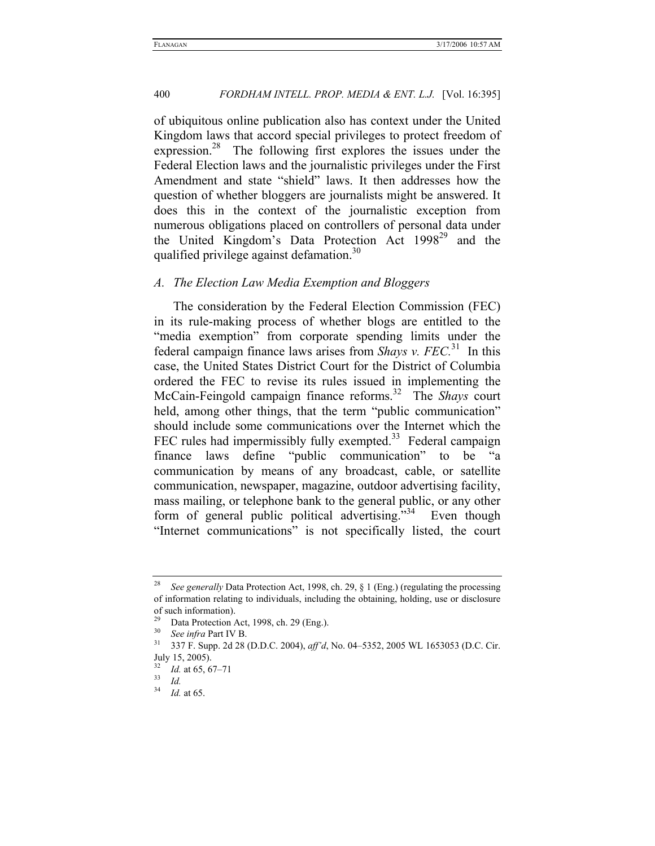of ubiquitous online publication also has context under the United Kingdom laws that accord special privileges to protect freedom of expression.<sup>28</sup> The following first explores the issues under the Federal Election laws and the journalistic privileges under the First Amendment and state "shield" laws. It then addresses how the question of whether bloggers are journalists might be answered. It does this in the context of the journalistic exception from numerous obligations placed on controllers of personal data under the United Kingdom's Data Protection Act  $1998^{29}$  and the qualified privilege against defamation.<sup>30</sup>

#### *A. The Election Law Media Exemption and Bloggers*

The consideration by the Federal Election Commission (FEC) in its rule-making process of whether blogs are entitled to the "media exemption" from corporate spending limits under the federal campaign finance laws arises from *Shays v. FEC.*31 In this case, the United States District Court for the District of Columbia ordered the FEC to revise its rules issued in implementing the McCain-Feingold campaign finance reforms.32 The *Shays* court held, among other things, that the term "public communication" should include some communications over the Internet which the FEC rules had impermissibly fully exempted.<sup>33</sup> Federal campaign finance laws define "public communication" to be "a communication by means of any broadcast, cable, or satellite communication, newspaper, magazine, outdoor advertising facility, mass mailing, or telephone bank to the general public, or any other form of general public political advertising."<sup>34</sup> Even though "Internet communications" is not specifically listed, the court

<sup>28</sup> *See generally* Data Protection Act, 1998, ch. 29, § 1 (Eng.) (regulating the processing of information relating to individuals, including the obtaining, holding, use or disclosure of such information).

<sup>&</sup>lt;sup>29</sup> Data Protection Act, 1998, ch. 29 (Eng.).<br><sup>30</sup> See infig Port IV P.

<sup>30</sup> *See infra* Part IV B. 31 337 F. Supp. 2d 28 (D.D.C. 2004), *aff'd*, No. 04–5352, 2005 WL 1653053 (D.C. Cir. July 15, 2005).

<sup>32</sup> *Id.* at 65, 67–71 33 *Id.*

<sup>34</sup> *Id.* at 65.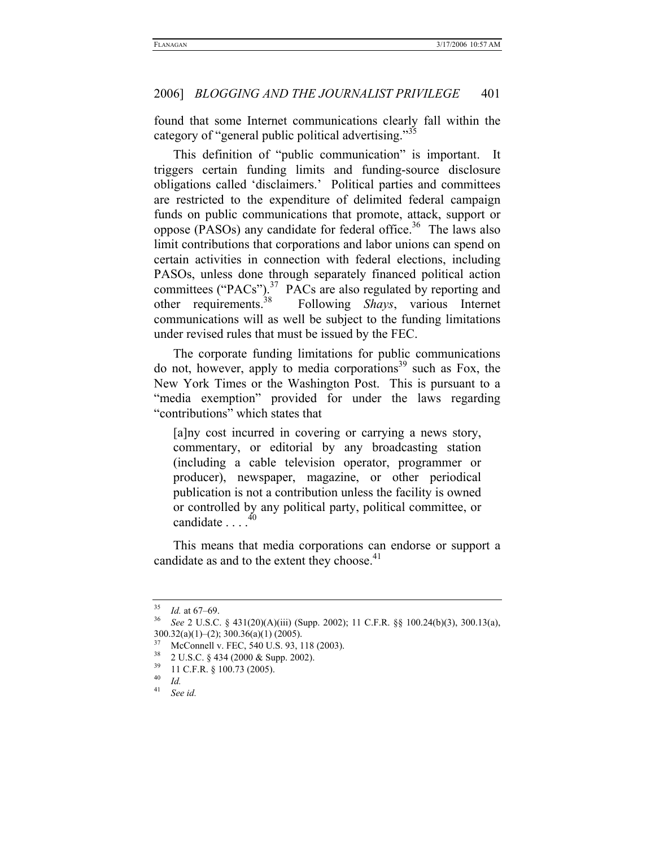found that some Internet communications clearly fall within the category of "general public political advertising."<sup>35</sup>

This definition of "public communication" is important. It triggers certain funding limits and funding-source disclosure obligations called 'disclaimers.' Political parties and committees are restricted to the expenditure of delimited federal campaign funds on public communications that promote, attack, support or oppose (PASOs) any candidate for federal office.<sup>36</sup> The laws also limit contributions that corporations and labor unions can spend on certain activities in connection with federal elections, including PASOs, unless done through separately financed political action committees ("PACs").<sup>37</sup> PACs are also regulated by reporting and other requirements.<sup>38</sup> Following *Shays*, various Internet Following *Shays*, various Internet communications will as well be subject to the funding limitations under revised rules that must be issued by the FEC.

The corporate funding limitations for public communications do not, however, apply to media corporations<sup>39</sup> such as Fox, the New York Times or the Washington Post. This is pursuant to a "media exemption" provided for under the laws regarding "contributions" which states that

[a]ny cost incurred in covering or carrying a news story, commentary, or editorial by any broadcasting station (including a cable television operator, programmer or producer), newspaper, magazine, or other periodical publication is not a contribution unless the facility is owned or controlled by any political party, political committee, or candidate  $10^{40}$ 

This means that media corporations can endorse or support a candidate as and to the extent they choose.<sup>41</sup>

<sup>35</sup> *Id.* at 67–69. 36 *See* 2 U.S.C. § 431(20)(A)(iii) (Supp. 2002); 11 C.F.R. §§ 100.24(b)(3), 300.13(a),  $300.32(a)(1)–(2)$ ;  $300.36(a)(1)$  (2005).

<sup>&</sup>lt;sup>37</sup> McConnell v. FEC, 540 U.S. 93, 118 (2003).

 $\frac{38}{32}$  2 U.S.C. § 434 (2000 & Supp. 2002).

 $\frac{39}{40}$  11 C.F.R. § 100.73 (2005).

 $\frac{40}{41}$  *Id.* 

See id.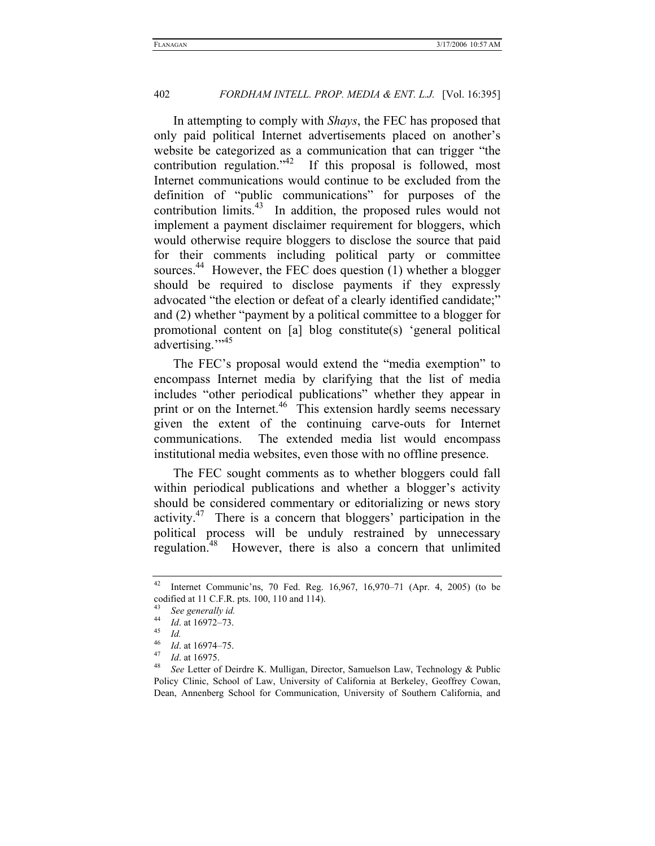In attempting to comply with *Shays*, the FEC has proposed that only paid political Internet advertisements placed on another's website be categorized as a communication that can trigger "the contribution regulation." $42$  If this proposal is followed, most Internet communications would continue to be excluded from the definition of "public communications" for purposes of the contribution limits. $43$  In addition, the proposed rules would not implement a payment disclaimer requirement for bloggers, which would otherwise require bloggers to disclose the source that paid for their comments including political party or committee sources.<sup>44</sup> However, the FEC does question  $(1)$  whether a blogger should be required to disclose payments if they expressly advocated "the election or defeat of a clearly identified candidate;" and (2) whether "payment by a political committee to a blogger for promotional content on [a] blog constitute(s) 'general political advertising."<sup>15</sup>

The FEC's proposal would extend the "media exemption" to encompass Internet media by clarifying that the list of media includes "other periodical publications" whether they appear in print or on the Internet.<sup>46</sup> This extension hardly seems necessary given the extent of the continuing carve-outs for Internet communications. The extended media list would encompass institutional media websites, even those with no offline presence.

The FEC sought comments as to whether bloggers could fall within periodical publications and whether a blogger's activity should be considered commentary or editorializing or news story activity.47 There is a concern that bloggers' participation in the political process will be unduly restrained by unnecessary regulation.<sup>48</sup> However, there is also a concern that unlimited

<sup>42</sup> Internet Communic'ns, 70 Fed. Reg. 16,967, 16,970–71 (Apr. 4, 2005) (to be codified at 11 C.F.R. pts. 100, 110 and 114).

<sup>43</sup> *See generally id.*

<sup>44</sup> *Id*. at 16972–73. 45 *Id.*

<sup>46</sup> *Id.* at 16974–75.<br><sup>47</sup> *Id.* at 16975.<br><sup>48</sup> See Letter of Deirdre K. Mulligan, Director, Samuelson Law, Technology & Public Policy Clinic, School of Law, University of California at Berkeley, Geoffrey Cowan, Dean, Annenberg School for Communication, University of Southern California, and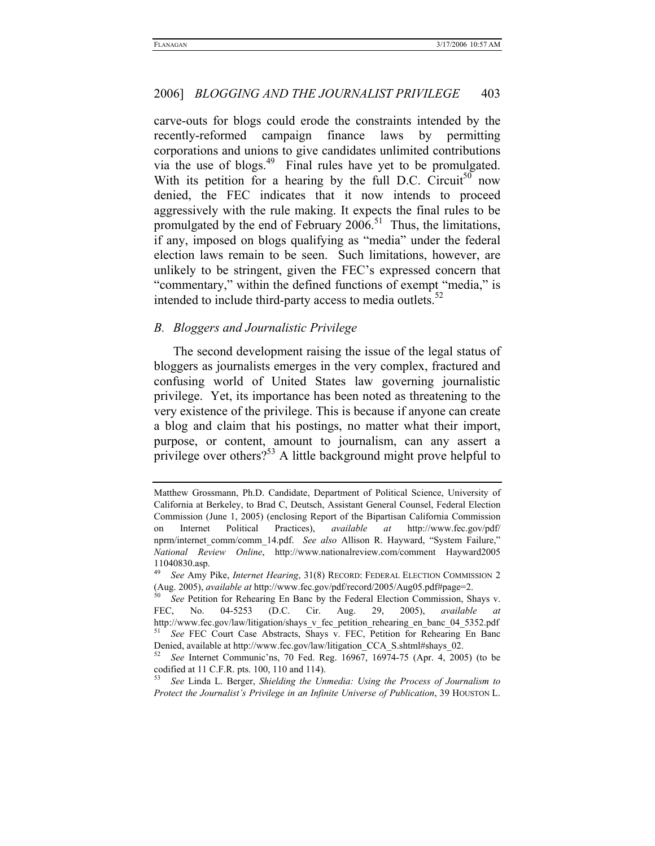carve-outs for blogs could erode the constraints intended by the recently-reformed campaign finance laws by permitting corporations and unions to give candidates unlimited contributions via the use of blogs.<sup>49</sup> Final rules have yet to be promulgated. With its petition for a hearing by the full D.C. Circuit<sup>50</sup> now denied, the FEC indicates that it now intends to proceed aggressively with the rule making. It expects the final rules to be promulgated by the end of February  $2006$ .<sup>51</sup> Thus, the limitations, if any, imposed on blogs qualifying as "media" under the federal election laws remain to be seen. Such limitations, however, are unlikely to be stringent, given the FEC's expressed concern that "commentary," within the defined functions of exempt "media," is intended to include third-party access to media outlets. $52$ 

#### *B. Bloggers and Journalistic Privilege*

The second development raising the issue of the legal status of bloggers as journalists emerges in the very complex, fractured and confusing world of United States law governing journalistic privilege. Yet, its importance has been noted as threatening to the very existence of the privilege. This is because if anyone can create a blog and claim that his postings, no matter what their import, purpose, or content, amount to journalism, can any assert a privilege over others?<sup>53</sup> A little background might prove helpful to

Matthew Grossmann, Ph.D. Candidate, Department of Political Science, University of California at Berkeley, to Brad C, Deutsch, Assistant General Counsel, Federal Election Commission (June 1, 2005) (enclosing Report of the Bipartisan California Commission on Internet Political Practices), *available at* http://www.fec.gov/pdf/ nprm/internet\_comm/comm\_14.pdf. *See also* Allison R. Hayward, "System Failure," *National Review Online*, http://www.nationalreview.com/comment Hayward2005 11040830.asp.

<sup>49</sup> *See* Amy Pike, *Internet Hearing*, 31(8) RECORD: FEDERAL ELECTION COMMISSION 2 (Aug. 2005), *available at* http://www.fec.gov/pdf/record/2005/Aug05.pdf#page=2. 50 *See* Petition for Rehearing En Banc by the Federal Election Commission, Shays v.

FEC, No. 04-5253 (D.C. Cir. Aug. 29, 2005), *available at* http://www.fec.gov/law/litigation/shays\_v\_fec\_petition\_rehearing\_en\_banc\_04\_5352.pdf 51 *See* FEC Court Case Abstracts, Shays v. FEC, Petition for Rehearing En Banc

Denied, available at http://www.fec.gov/law/litigation\_CCA\_S.shtml#shays\_02. 52 *See* Internet Communic'ns, 70 Fed. Reg. 16967, 16974-75 (Apr. 4, 2005) (to be codified at 11 C.F.R. pts. 100, 110 and 114).

<sup>53</sup> *See* Linda L. Berger, *Shielding the Unmedia: Using the Process of Journalism to Protect the Journalist's Privilege in an Infinite Universe of Publication*, 39 HOUSTON L.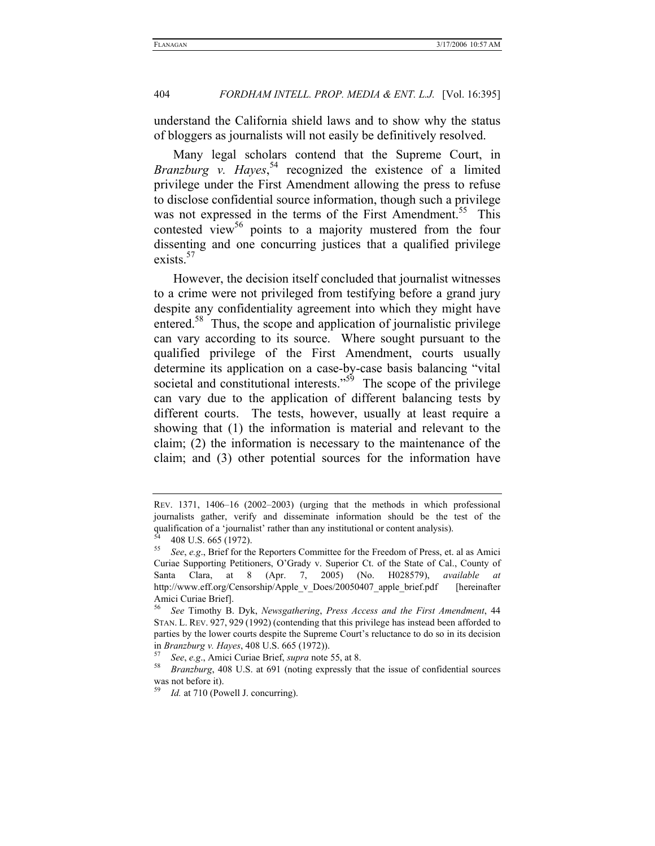understand the California shield laws and to show why the status of bloggers as journalists will not easily be definitively resolved.

Many legal scholars contend that the Supreme Court, in Branzburg v. Hayes,<sup>54</sup> recognized the existence of a limited privilege under the First Amendment allowing the press to refuse to disclose confidential source information, though such a privilege was not expressed in the terms of the First Amendment.<sup>55</sup> This contested view<sup>56</sup> points to a majority mustered from the four dissenting and one concurring justices that a qualified privilege exists. $57$ 

However, the decision itself concluded that journalist witnesses to a crime were not privileged from testifying before a grand jury despite any confidentiality agreement into which they might have entered.<sup>58</sup> Thus, the scope and application of journalistic privilege can vary according to its source. Where sought pursuant to the qualified privilege of the First Amendment, courts usually determine its application on a case-by-case basis balancing "vital societal and constitutional interests."<sup>59</sup> The scope of the privilege can vary due to the application of different balancing tests by different courts. The tests, however, usually at least require a showing that (1) the information is material and relevant to the claim; (2) the information is necessary to the maintenance of the claim; and (3) other potential sources for the information have

REV. 1371, 1406–16 (2002–2003) (urging that the methods in which professional journalists gather, verify and disseminate information should be the test of the qualification of a 'journalist' rather than any institutional or content analysis).<br>  $^{54}$  408 U.S. 665 (1972).<br>  $^{55}$  See a.g. Priof for the Penertors Committee for the Freedom of Press, et

<sup>55</sup> *See*, *e.g*., Brief for the Reporters Committee for the Freedom of Press, et. al as Amici Curiae Supporting Petitioners, O'Grady v. Superior Ct. of the State of Cal., County of Santa Clara, at 8 (Apr. 7, 2005) (No. H028579), *available at* http://www.eff.org/Censorship/Apple\_v\_Does/20050407\_apple\_brief.pdf [hereinafter Amici Curiae Brief].

<sup>56</sup> *See* Timothy B. Dyk, *Newsgathering*, *Press Access and the First Amendment*, 44 STAN. L. REV. 927, 929 (1992) (contending that this privilege has instead been afforded to parties by the lower courts despite the Supreme Court's reluctance to do so in its decision in *Branzburg v. Hayes*, 408 U.S. 665 (1972)). 57 *See*, *e.g*., Amici Curiae Brief, *supra* note 55, at 8. 58 *Branzburg*, 408 U.S. at 691 (noting expressly that the issue of confidential sources

was not before it).

Id. at 710 (Powell J. concurring).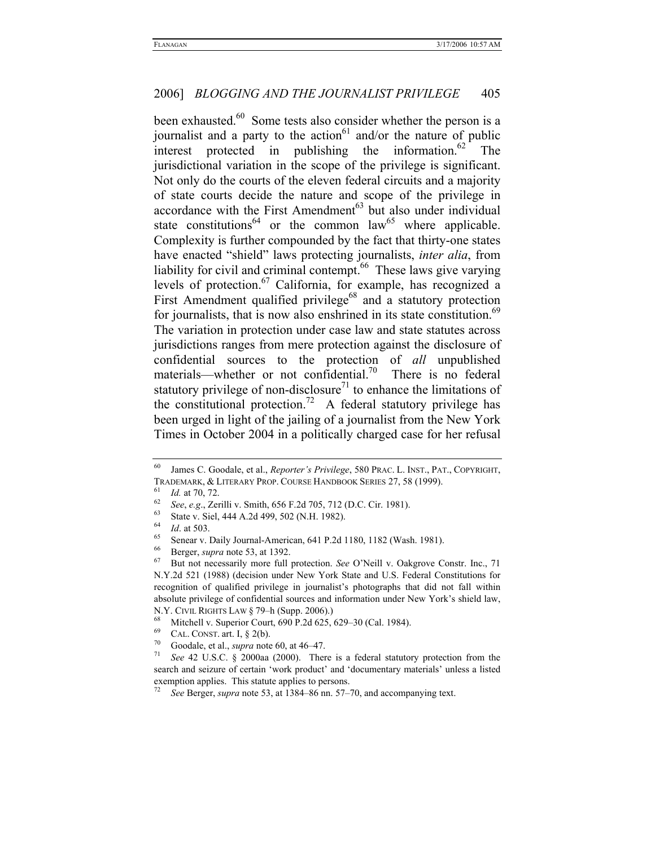been exhausted.<sup>60</sup> Some tests also consider whether the person is a journalist and a party to the action<sup>61</sup> and/or the nature of public interest protected in publishing the information.<sup>62</sup> The jurisdictional variation in the scope of the privilege is significant. Not only do the courts of the eleven federal circuits and a majority of state courts decide the nature and scope of the privilege in accordance with the First Amendment<sup> $63$ </sup> but also under individual state constitutions<sup>64</sup> or the common law<sup>65</sup> where applicable. Complexity is further compounded by the fact that thirty-one states have enacted "shield" laws protecting journalists, *inter alia*, from liability for civil and criminal contempt.<sup>66</sup> These laws give varying levels of protection.67 California, for example, has recognized a First Amendment qualified privilege<sup>68</sup> and a statutory protection for journalists, that is now also enshrined in its state constitution.<sup>69</sup> The variation in protection under case law and state statutes across jurisdictions ranges from mere protection against the disclosure of confidential sources to the protection of *all* unpublished materials—whether or not confidential.<sup>70</sup> There is no federal statutory privilege of non-disclosure<sup>71</sup> to enhance the limitations of the constitutional protection.<sup>72</sup> A federal statutory privilege has been urged in light of the jailing of a journalist from the New York Times in October 2004 in a politically charged case for her refusal

<sup>60</sup> James C. Goodale, et al., *Reporter's Privilege*, 580 PRAC. L. INST., PAT., COPYRIGHT, TRADEMARK, & LITERARY PROP. COURSE HANDBOOK SERIES 27, 58 (1999).<br>
<sup>61</sup> *Id.* at 70, 72.<br>
<sup>62</sup> *See*, *e.g.*, Zerilli v. Smith, 656 F.2d 705, 712 (D.C. Cir. 1981).<br>
<sup>63</sup> State v. Siel, 444 A.2d 499, 502 (N.H. 1982).<br>
<sup>64</sup>

<sup>&</sup>lt;sup>64</sup> *Id.* at 503.<br>
Senear v. Daily Journal-American, 641 P.2d 1180, 1182 (Wash. 1981).<br>
<sup>66</sup> Berger, *supra* note 53, at 1392.<br>
<sup>67</sup> But not necessarily more full protection. *See* O'Neill v. Oakgrove Constr. Inc., 71 N.Y.2d 521 (1988) (decision under New York State and U.S. Federal Constitutions for recognition of qualified privilege in journalist's photographs that did not fall within absolute privilege of confidential sources and information under New York's shield law,

N.Y. CIVIL RIGHTS LAW § 79-h (Supp. 2006).)<br>
<sup>68</sup> Mitchell v. Superior Court, 690 P.2d 625, 629–30 (Cal. 1984).<br>
<sup>69</sup> CAL. CONST. art. I, § 2(b).<br>
<sup>70</sup> Goodale, et al., *supra* note 60, at 46–47.<br>
<sup>71</sup> *See* 42 U.S.C. § 2 search and seizure of certain 'work product' and 'documentary materials' unless a listed exemption applies. This statute applies to persons. 72 *See* Berger, *supra* note 53, at 1384–86 nn. 57–70, and accompanying text.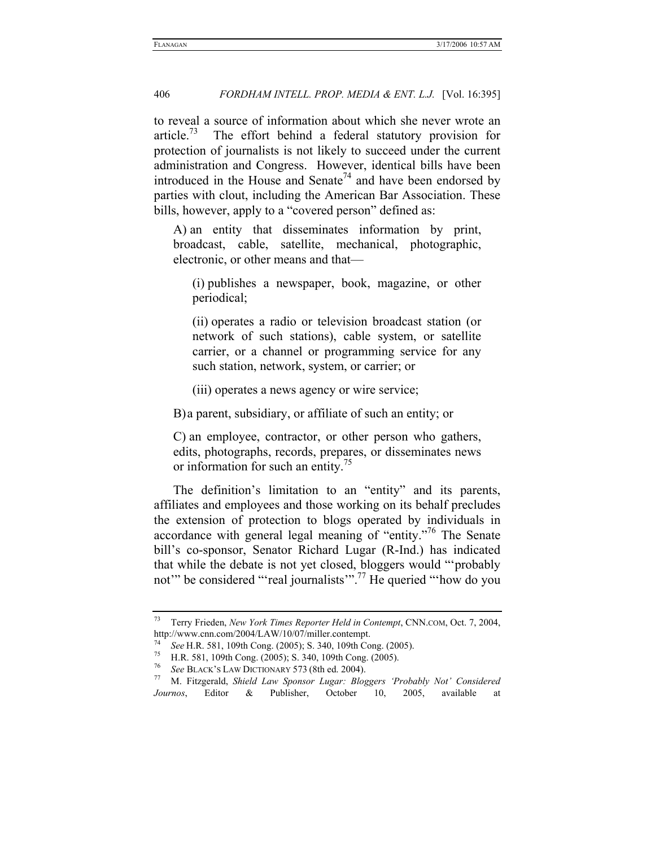to reveal a source of information about which she never wrote an article.<sup>73</sup> The effort behind a federal statutory provision for protection of journalists is not likely to succeed under the current administration and Congress. However, identical bills have been introduced in the House and Senate<sup>74</sup> and have been endorsed by parties with clout, including the American Bar Association. These bills, however, apply to a "covered person" defined as:

A) an entity that disseminates information by print, broadcast, cable, satellite, mechanical, photographic, electronic, or other means and that—

(i) publishes a newspaper, book, magazine, or other periodical;

(ii) operates a radio or television broadcast station (or network of such stations), cable system, or satellite carrier, or a channel or programming service for any such station, network, system, or carrier; or

(iii) operates a news agency or wire service;

B) a parent, subsidiary, or affiliate of such an entity; or

C) an employee, contractor, or other person who gathers, edits, photographs, records, prepares, or disseminates news or information for such an entity.<sup>75</sup>

The definition's limitation to an "entity" and its parents, affiliates and employees and those working on its behalf precludes the extension of protection to blogs operated by individuals in accordance with general legal meaning of "entity."<sup>76</sup> The Senate bill's co-sponsor, Senator Richard Lugar (R-Ind.) has indicated that while the debate is not yet closed, bloggers would "'probably not" be considered "'real journalists'".<sup>77</sup> He queried "'how do you

<sup>73</sup> Terry Frieden, *New York Times Reporter Held in Contempt*, CNN.COM, Oct. 7, 2004, http://www.cnn.com/2004/LAW/10/07/miller.contempt.<br>
<sup>74</sup> See H.R. 581, 109th Cong. (2005); S. 340, 109th Cong. (2005).<br>
H.R. 581, 109th Cong. (2005); S. 340, 109th Cong. (2005).<br>
<sup>76</sup>

<sup>76</sup> *See* BLACK'S LAW DICTIONARY 573 (8th ed. 2004). 77 M. Fitzgerald, *Shield Law Sponsor Lugar: Bloggers 'Probably Not' Considered Journos*, Editor & Publisher, October 10, 2005, available at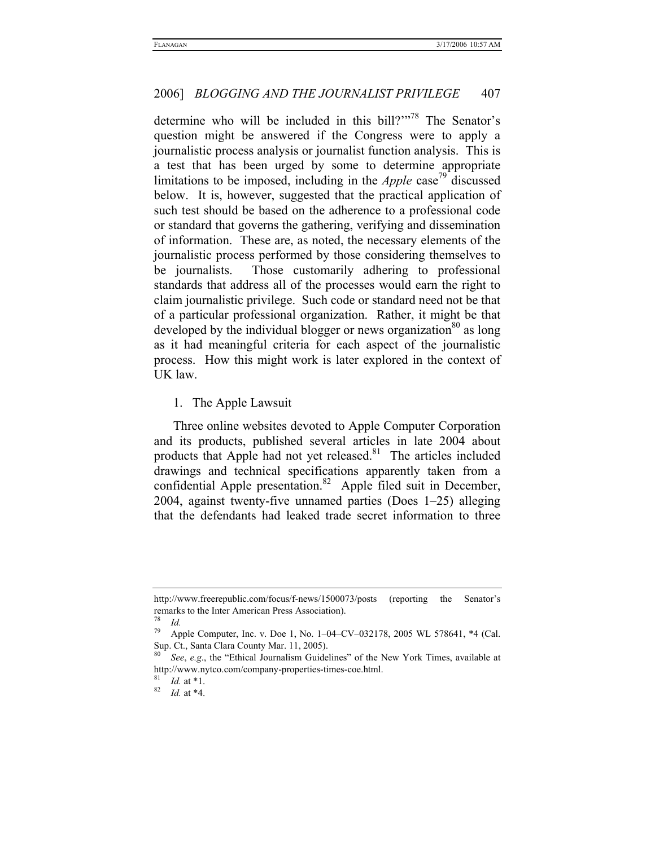determine who will be included in this bill?"<sup>78</sup> The Senator's question might be answered if the Congress were to apply a journalistic process analysis or journalist function analysis. This is a test that has been urged by some to determine appropriate limitations to be imposed, including in the *Apple* case<sup> $\prime$ 9</sup> discussed below. It is, however, suggested that the practical application of such test should be based on the adherence to a professional code or standard that governs the gathering, verifying and dissemination of information. These are, as noted, the necessary elements of the journalistic process performed by those considering themselves to be journalists. Those customarily adhering to professional standards that address all of the processes would earn the right to claim journalistic privilege. Such code or standard need not be that of a particular professional organization. Rather, it might be that developed by the individual blogger or news organization<sup>80</sup> as long as it had meaningful criteria for each aspect of the journalistic process. How this might work is later explored in the context of UK law.

1. The Apple Lawsuit

Three online websites devoted to Apple Computer Corporation and its products, published several articles in late 2004 about products that Apple had not yet released. $81$  The articles included drawings and technical specifications apparently taken from a confidential Apple presentation.<sup>82</sup> Apple filed suit in December, 2004, against twenty-five unnamed parties (Does 1–25) alleging that the defendants had leaked trade secret information to three

http://www.freerepublic.com/focus/f-news/1500073/posts (reporting the Senator's remarks to the Inter American Press Association).

 $rac{78}{79}$  *Id.* 

Apple Computer, Inc. v. Doe 1, No. 1-04-CV-032178, 2005 WL 578641, \*4 (Cal. Sup. Ct., Santa Clara County Mar. 11, 2005).

See, e.g., the "Ethical Journalism Guidelines" of the New York Times, available at http://www.nytco.com/company-properties-times-coe.html. 81 *Id.* at \*1. 82 *Id.* at \*4.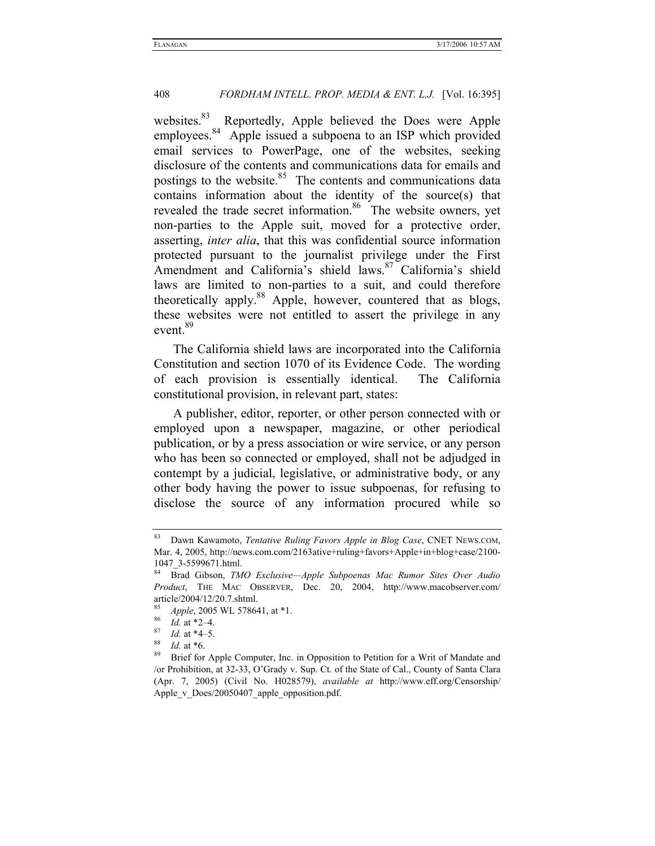websites.<sup>83</sup> Reportedly, Apple believed the Does were Apple employees.<sup>84</sup> Apple issued a subpoena to an ISP which provided email services to PowerPage, one of the websites, seeking disclosure of the contents and communications data for emails and postings to the website.<sup>85</sup> The contents and communications data contains information about the identity of the source(s) that revealed the trade secret information.<sup>86</sup> The website owners, yet non-parties to the Apple suit, moved for a protective order, asserting, *inter alia*, that this was confidential source information protected pursuant to the journalist privilege under the First Amendment and California's shield laws.<sup>87</sup> California's shield laws are limited to non-parties to a suit, and could therefore theoretically apply.<sup>88</sup> Apple, however, countered that as blogs, these websites were not entitled to assert the privilege in any event.<sup>89</sup>

The California shield laws are incorporated into the California Constitution and section 1070 of its Evidence Code. The wording of each provision is essentially identical. The California constitutional provision, in relevant part, states:

A publisher, editor, reporter, or other person connected with or employed upon a newspaper, magazine, or other periodical publication, or by a press association or wire service, or any person who has been so connected or employed, shall not be adjudged in contempt by a judicial, legislative, or administrative body, or any other body having the power to issue subpoenas, for refusing to disclose the source of any information procured while so

<sup>83</sup> Dawn Kawamoto, *Tentative Ruling Favors Apple in Blog Case*, CNET NEWS.COM, Mar. 4, 2005, http://news.com.com/2163ative+ruling+favors+Apple+in+blog+case/2100- 1047\_3-5599671.html.

<sup>84</sup> Brad Gibson, *TMO Exclusive—Apple Subpoenas Mac Rumor Sites Over Audio Product*, THE MAC OBSERVER, Dec. 20, 2004, http://www.macobserver.com/ article/2004/12/20.7.shtml.

<sup>85&</sup>lt;br>
85<br>
86*Id.* at \*2–4.<br>
87*Id.* at \*4–5.<br>
88*Id.* at \*6.<br>
89 Brief for Apple Computer, Inc. in Opposition to Petition for a Writ of Mandate and /or Prohibition, at 32-33, O'Grady v. Sup. Ct. of the State of Cal., County of Santa Clara (Apr. 7, 2005) (Civil No. H028579), *available at* http://www.eff.org/Censorship/ Apple v\_Does/20050407\_apple\_opposition.pdf.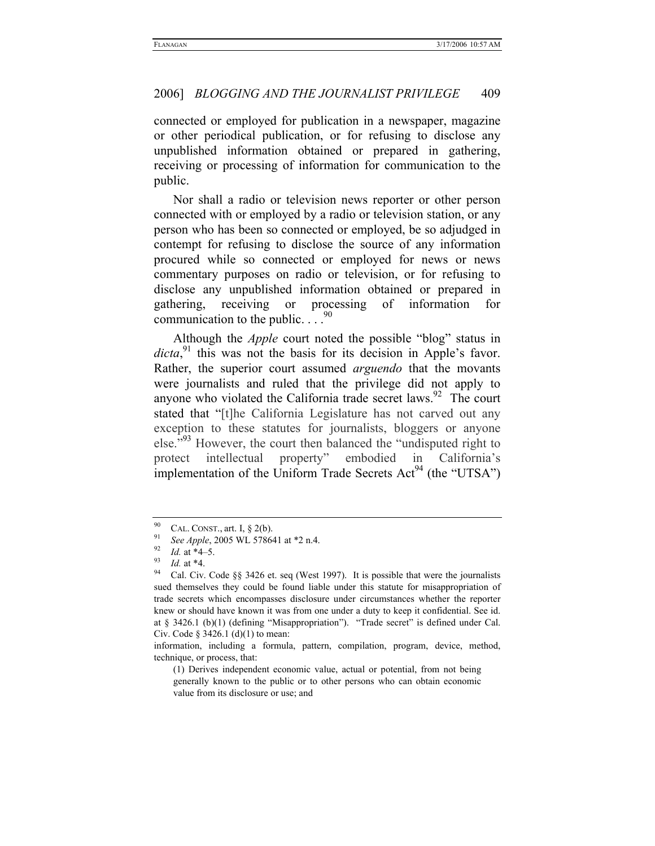connected or employed for publication in a newspaper, magazine or other periodical publication, or for refusing to disclose any unpublished information obtained or prepared in gathering, receiving or processing of information for communication to the public.

Nor shall a radio or television news reporter or other person connected with or employed by a radio or television station, or any person who has been so connected or employed, be so adjudged in contempt for refusing to disclose the source of any information procured while so connected or employed for news or news commentary purposes on radio or television, or for refusing to disclose any unpublished information obtained or prepared in gathering, receiving or processing of information for communication to the public.  $\ldots$ <sup>90</sup>

Although the *Apple* court noted the possible "blog" status in dicta,<sup>91</sup> this was not the basis for its decision in Apple's favor. Rather, the superior court assumed *arguendo* that the movants were journalists and ruled that the privilege did not apply to anyone who violated the California trade secret laws. $92$  The court stated that "[t]he California Legislature has not carved out any exception to these statutes for journalists, bloggers or anyone else."<sup>93</sup> However, the court then balanced the "undisputed right to protect intellectual property" embodied in California's implementation of the Uniform Trade Secrets  $Act^{94}$  (the "UTSA")

<sup>&</sup>lt;sup>90</sup> CAL. CONST., art. I, § 2(b).<br><sup>91</sup> *See Apple*, 2005 WL 578641 at \*2 n.4.<br><sup>92</sup> *Id.* at \*4–5.<br><sup>93</sup> *Id.* at \*4.<br>Cal. Civ. Code §§ 3426 et. seq (West 1997). It is possible that were the journalists sued themselves they could be found liable under this statute for misappropriation of trade secrets which encompasses disclosure under circumstances whether the reporter knew or should have known it was from one under a duty to keep it confidential. See id. at § 3426.1 (b)(1) (defining "Misappropriation"). "Trade secret" is defined under Cal. Civ. Code § 3426.1 (d)(1) to mean:

information, including a formula, pattern, compilation, program, device, method, technique, or process, that:

<sup>(1)</sup> Derives independent economic value, actual or potential, from not being generally known to the public or to other persons who can obtain economic value from its disclosure or use; and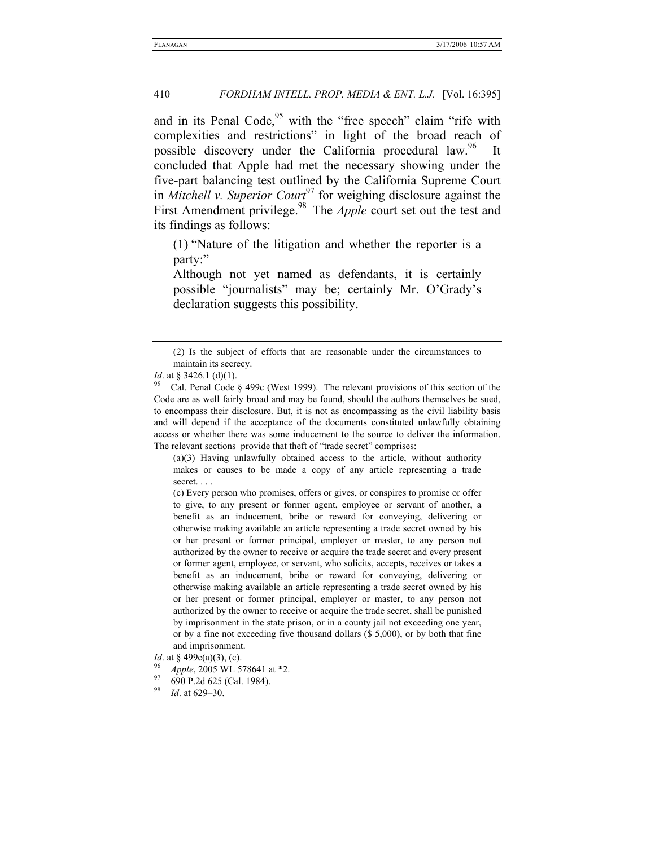and in its Penal Code, $95$  with the "free speech" claim "rife with complexities and restrictions" in light of the broad reach of possible discovery under the California procedural law.<sup>96</sup> It concluded that Apple had met the necessary showing under the five-part balancing test outlined by the California Supreme Court in *Mitchell v. Superior Court*<sup>97</sup> for weighing disclosure against the First Amendment privilege.<sup>98</sup> The *Apple* court set out the test and its findings as follows:

(1) "Nature of the litigation and whether the reporter is a party:"

Although not yet named as defendants, it is certainly possible "journalists" may be; certainly Mr. O'Grady's declaration suggests this possibility.

(a)(3) Having unlawfully obtained access to the article, without authority makes or causes to be made a copy of any article representing a trade secret. . . .

(c) Every person who promises, offers or gives, or conspires to promise or offer to give, to any present or former agent, employee or servant of another, a benefit as an inducement, bribe or reward for conveying, delivering or otherwise making available an article representing a trade secret owned by his or her present or former principal, employer or master, to any person not authorized by the owner to receive or acquire the trade secret and every present or former agent, employee, or servant, who solicits, accepts, receives or takes a benefit as an inducement, bribe or reward for conveying, delivering or otherwise making available an article representing a trade secret owned by his or her present or former principal, employer or master, to any person not authorized by the owner to receive or acquire the trade secret, shall be punished by imprisonment in the state prison, or in a county jail not exceeding one year, or by a fine not exceeding five thousand dollars (\$ 5,000), or by both that fine and imprisonment.

<sup>(2)</sup> Is the subject of efforts that are reasonable under the circumstances to maintain its secrecy.

*Id.* at § 3426.1 (d)(1). *95* Cal. Penal Code § 499c (West 1999). The relevant provisions of this section of the Code are as well fairly broad and may be found, should the authors themselves be sued, to encompass their disclosure. But, it is not as encompassing as the civil liability basis and will depend if the acceptance of the documents constituted unlawfully obtaining access or whether there was some inducement to the source to deliver the information. The relevant sections provide that theft of "trade secret" comprises:

*Id.* at § 499c(a)(3), (c). <sup>96</sup> *Apple*, 2005 WL 578641 at \*2. <br><sup>97</sup> 690 P.2d 625 (Cal. 1984).

<sup>98</sup> *Id*. at 629–30.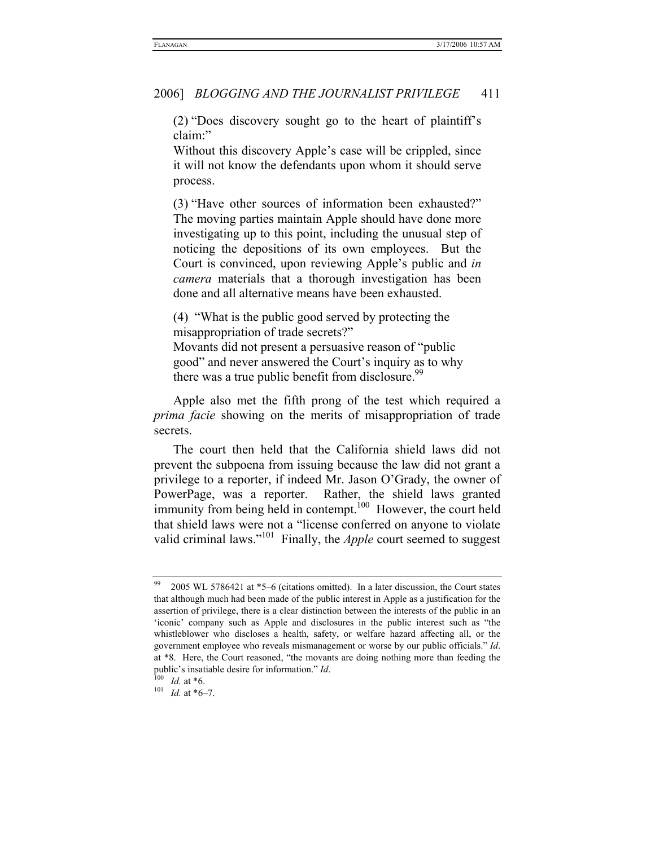(2) "Does discovery sought go to the heart of plaintiff's claim:"

Without this discovery Apple's case will be crippled, since it will not know the defendants upon whom it should serve process.

(3) "Have other sources of information been exhausted?" The moving parties maintain Apple should have done more investigating up to this point, including the unusual step of noticing the depositions of its own employees. But the Court is convinced, upon reviewing Apple's public and *in camera* materials that a thorough investigation has been done and all alternative means have been exhausted.

(4) "What is the public good served by protecting the misappropriation of trade secrets?" Movants did not present a persuasive reason of "public good" and never answered the Court's inquiry as to why there was a true public benefit from disclosure.<sup>99</sup>

Apple also met the fifth prong of the test which required a *prima facie* showing on the merits of misappropriation of trade secrets.

The court then held that the California shield laws did not prevent the subpoena from issuing because the law did not grant a privilege to a reporter, if indeed Mr. Jason O'Grady, the owner of PowerPage, was a reporter. Rather, the shield laws granted immunity from being held in contempt.<sup>100</sup> However, the court held that shield laws were not a "license conferred on anyone to violate valid criminal laws."<sup>101</sup> Finally, the *Apple* court seemed to suggest

<sup>&</sup>lt;sup>99</sup> 2005 WL 5786421 at  $*5-6$  (citations omitted). In a later discussion, the Court states that although much had been made of the public interest in Apple as a justification for the assertion of privilege, there is a clear distinction between the interests of the public in an 'iconic' company such as Apple and disclosures in the public interest such as "the whistleblower who discloses a health, safety, or welfare hazard affecting all, or the government employee who reveals mismanagement or worse by our public officials." *Id*. at \*8. Here, the Court reasoned, "the movants are doing nothing more than feeding the public's insatiable desire for information." *Id.* 100 *Id.* at \*6.<br><sup>101</sup> *Id.* at \*6–7.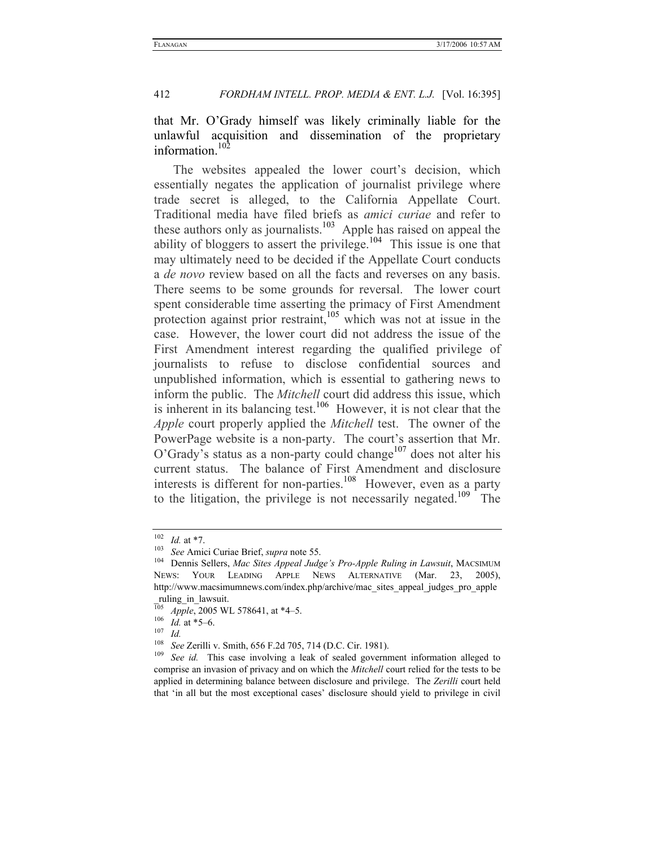that Mr. O'Grady himself was likely criminally liable for the unlawful acquisition and dissemination of the proprietary information.102

The websites appealed the lower court's decision, which essentially negates the application of journalist privilege where trade secret is alleged, to the California Appellate Court. Traditional media have filed briefs as *amici curiae* and refer to these authors only as journalists.<sup>103</sup> Apple has raised on appeal the ability of bloggers to assert the privilege.<sup>104</sup> This issue is one that may ultimately need to be decided if the Appellate Court conducts a *de novo* review based on all the facts and reverses on any basis. There seems to be some grounds for reversal. The lower court spent considerable time asserting the primacy of First Amendment protection against prior restraint,<sup>105</sup> which was not at issue in the case. However, the lower court did not address the issue of the First Amendment interest regarding the qualified privilege of journalists to refuse to disclose confidential sources and unpublished information, which is essential to gathering news to inform the public. The *Mitchell* court did address this issue, which is inherent in its balancing test.<sup>106</sup> However, it is not clear that the *Apple* court properly applied the *Mitchell* test. The owner of the PowerPage website is a non-party. The court's assertion that Mr.  $O'Grady's$  status as a non-party could change<sup>107</sup> does not alter his current status. The balance of First Amendment and disclosure interests is different for non-parties.<sup>108</sup> However, even as a party to the litigation, the privilege is not necessarily negated.<sup>109</sup> The

<sup>102</sup> *Id.* at \*7. 103 *See* Amici Curiae Brief, *supra* note 55. 104 Dennis Sellers, *Mac Sites Appeal Judge's Pro-Apple Ruling in Lawsuit*, MACSIMUM NEWS: YOUR LEADING APPLE NEWS ALTERNATIVE (Mar. 23, 2005), http://www.macsimumnews.com/index.php/archive/mac\_sites\_appeal\_judges\_pro\_apple ruling in lawsuit.

 $\frac{105}{105}$  *Apple*, 2005 WL 578641, at \*4–5.<br>  $\frac{106}{107}$  *Id.*<br>  $\frac{108}{566}$  See Zerilli v. Smith 656 F.2d 705

<sup>108</sup> *See* Zerilli v. Smith, 656 F.2d 705, 714 (D.C. Cir. 1981). 109 *See id.* This case involving a leak of sealed government information alleged to comprise an invasion of privacy and on which the *Mitchell* court relied for the tests to be applied in determining balance between disclosure and privilege. The *Zerilli* court held that 'in all but the most exceptional cases' disclosure should yield to privilege in civil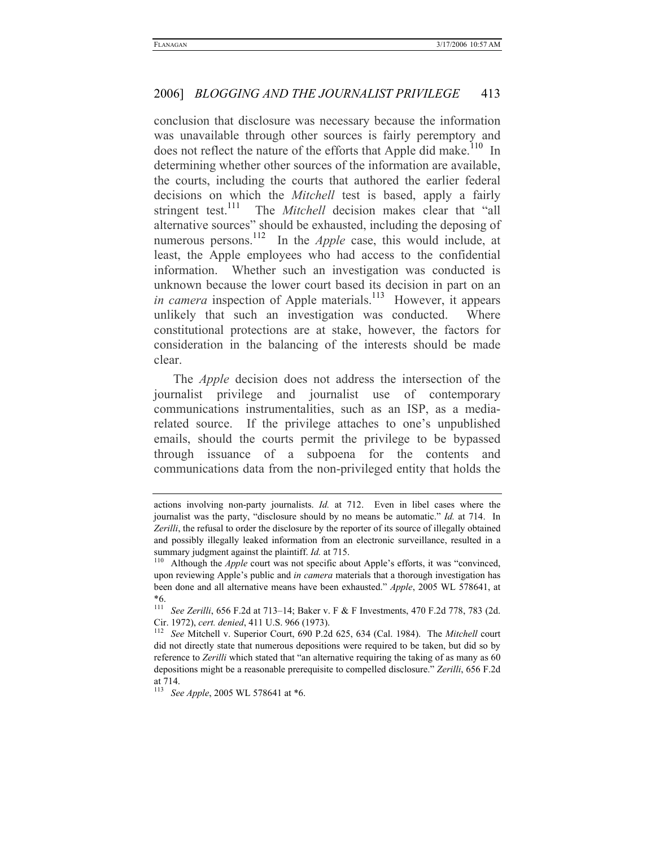conclusion that disclosure was necessary because the information was unavailable through other sources is fairly peremptory and does not reflect the nature of the efforts that Apple did make.<sup>110</sup> In determining whether other sources of the information are available, the courts, including the courts that authored the earlier federal decisions on which the *Mitchell* test is based, apply a fairly stringent test.<sup>111</sup> The *Mitchell* decision makes clear that "all alternative sources" should be exhausted, including the deposing of numerous persons.<sup>112</sup> In the *Apple* case, this would include, at least, the Apple employees who had access to the confidential information. Whether such an investigation was conducted is unknown because the lower court based its decision in part on an *in camera* inspection of Apple materials.<sup>113</sup> However, it appears unlikely that such an investigation was conducted. Where constitutional protections are at stake, however, the factors for consideration in the balancing of the interests should be made clear.

The *Apple* decision does not address the intersection of the journalist privilege and journalist use of contemporary communications instrumentalities, such as an ISP, as a mediarelated source. If the privilege attaches to one's unpublished emails, should the courts permit the privilege to be bypassed through issuance of a subpoena for the contents and communications data from the non-privileged entity that holds the

actions involving non-party journalists. *Id.* at 712. Even in libel cases where the journalist was the party, "disclosure should by no means be automatic." *Id.* at 714. In *Zerilli*, the refusal to order the disclosure by the reporter of its source of illegally obtained and possibly illegally leaked information from an electronic surveillance, resulted in a summary judgment against the plaintiff. *Id.* at 715.<br><sup>110</sup> Although the *Apple* court was not specific about Apple's efforts, it was "convinced,

upon reviewing Apple's public and *in camera* materials that a thorough investigation has been done and all alternative means have been exhausted." *Apple*, 2005 WL 578641, at \*6.

<sup>111</sup> *See Zerilli*, 656 F.2d at 713–14; Baker v. F & F Investments, 470 F.2d 778, 783 (2d. Cir. 1972), *cert. denied*, 411 U.S. 966 (1973). 112 *See* Mitchell v. Superior Court, 690 P.2d 625, 634 (Cal. 1984). The *Mitchell* court

did not directly state that numerous depositions were required to be taken, but did so by reference to *Zerilli* which stated that "an alternative requiring the taking of as many as 60 depositions might be a reasonable prerequisite to compelled disclosure." *Zerilli*, 656 F.2d at 714.

<sup>113</sup> *See Apple*, 2005 WL 578641 at \*6.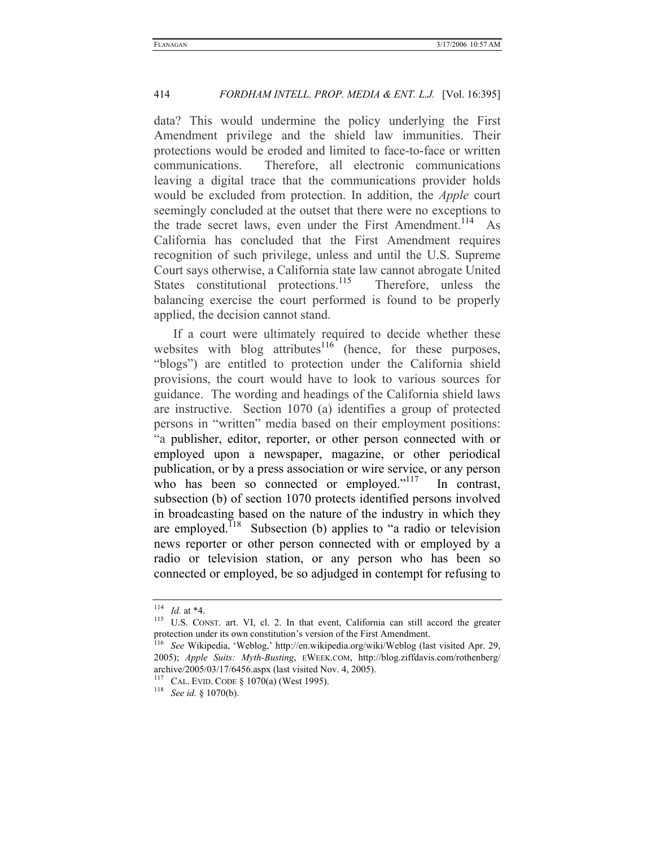data? This would undermine the policy underlying the First Amendment privilege and the shield law immunities. Their protections would be eroded and limited to face-to-face or written communications. Therefore, all electronic communications leaving a digital trace that the communications provider holds would be excluded from protection. In addition, the *Apple* court seemingly concluded at the outset that there were no exceptions to the trade secret laws, even under the First Amendment.<sup>114</sup> As California has concluded that the First Amendment requires recognition of such privilege, unless and until the U.S. Supreme Court says otherwise, a California state law cannot abrogate United States constitutional protections.<sup>115</sup> Therefore, unless the balancing exercise the court performed is found to be properly applied, the decision cannot stand.

If a court were ultimately required to decide whether these websites with blog attributes $116$  (hence, for these purposes, "blogs") are entitled to protection under the California shield provisions, the court would have to look to various sources for guidance. The wording and headings of the California shield laws are instructive. Section 1070 (a) identifies a group of protected persons in "written" media based on their employment positions: "a publisher, editor, reporter, or other person connected with or employed upon a newspaper, magazine, or other periodical publication, or by a press association or wire service, or any person who has been so connected or employed."<sup>117</sup> In contrast, subsection (b) of section 1070 protects identified persons involved in broadcasting based on the nature of the industry in which they are employed.<sup>118</sup> Subsection (b) applies to "a radio or television news reporter or other person connected with or employed by a radio or television station, or any person who has been so connected or employed, be so adjudged in contempt for refusing to

<sup>&</sup>lt;sup>114</sup> *Id.* at \*4.<br><sup>115</sup> U.S. CONST. art. VI, cl. 2. In that event, California can still accord the greater protection under its own constitution's version of the First Amendment. 116 *See* Wikipedia, 'Weblog,' http://en.wikipedia.org/wiki/Weblog (last visited Apr. 29,

<sup>2005);</sup> *Apple Suits: Myth-Busting*, EWEEK.COM, http://blog.ziffdavis.com/rothenberg/ archive/2005/03/17/6456.aspx (last visited Nov. 4, 2005). 117 CAL. EVID. CODE § 1070(a) (West 1995). 118 *See id.* § 1070(b).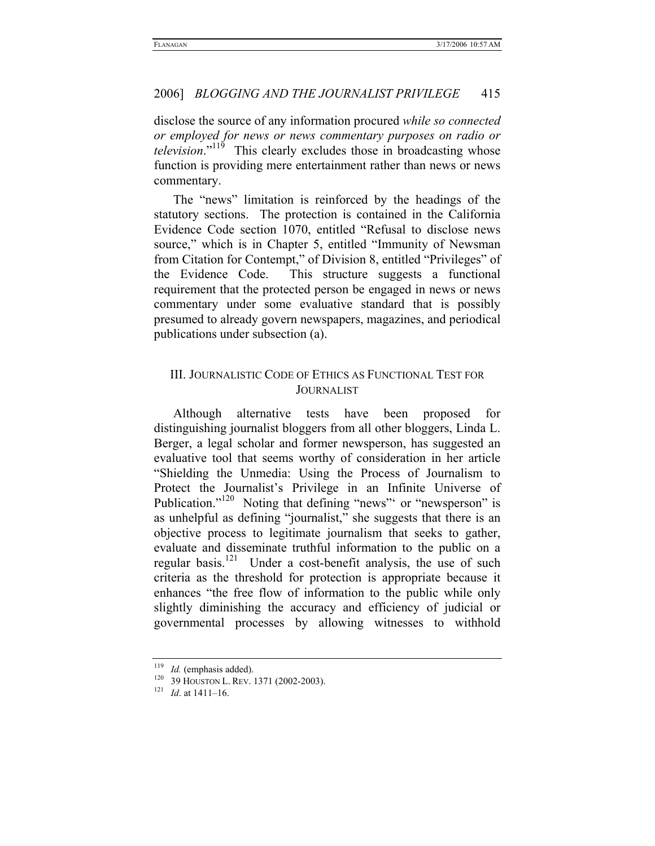disclose the source of any information procured *while so connected or employed for news or news commentary purposes on radio or television*."<sup>119</sup> This clearly excludes those in broadcasting whose function is providing mere entertainment rather than news or news commentary.

The "news" limitation is reinforced by the headings of the statutory sections. The protection is contained in the California Evidence Code section 1070, entitled "Refusal to disclose news source," which is in Chapter 5, entitled "Immunity of Newsman from Citation for Contempt," of Division 8, entitled "Privileges" of the Evidence Code. This structure suggests a functional requirement that the protected person be engaged in news or news commentary under some evaluative standard that is possibly presumed to already govern newspapers, magazines, and periodical publications under subsection (a).

### III. JOURNALISTIC CODE OF ETHICS AS FUNCTIONAL TEST FOR JOURNALIST

Although alternative tests have been proposed for distinguishing journalist bloggers from all other bloggers, Linda L. Berger, a legal scholar and former newsperson, has suggested an evaluative tool that seems worthy of consideration in her article "Shielding the Unmedia: Using the Process of Journalism to Protect the Journalist's Privilege in an Infinite Universe of Publication."<sup>120</sup> Noting that defining "news" or "newsperson" is as unhelpful as defining "journalist," she suggests that there is an objective process to legitimate journalism that seeks to gather, evaluate and disseminate truthful information to the public on a regular basis.<sup>121</sup> Under a cost-benefit analysis, the use of such criteria as the threshold for protection is appropriate because it enhances "the free flow of information to the public while only slightly diminishing the accuracy and efficiency of judicial or governmental processes by allowing witnesses to withhold

<sup>119</sup> *Id.* (emphasis added).<br><sup>120</sup> 39 HOUSTON L. REV. 1371 (2002-2003).<br><sup>121</sup> *Id.* at 1411–16.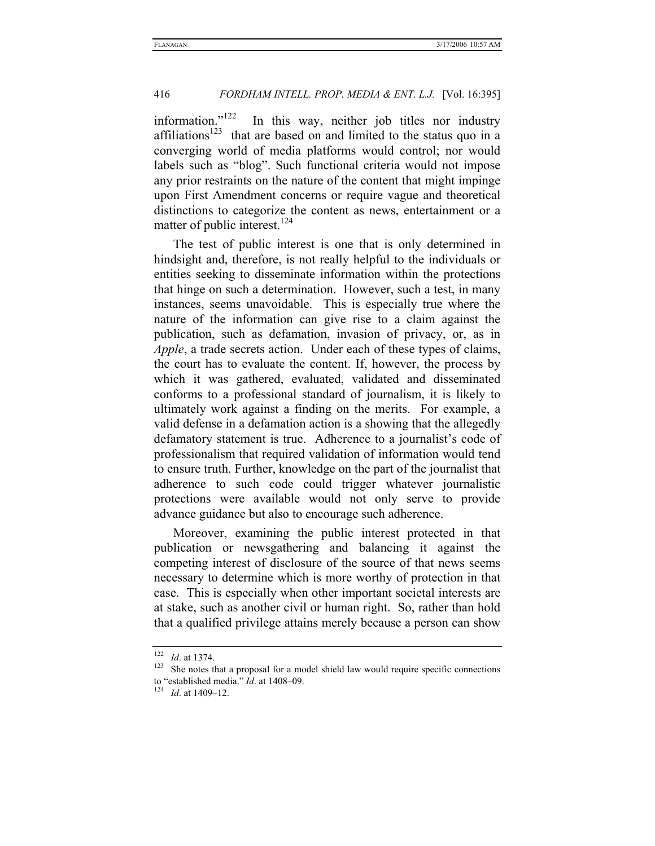information." $122$  In this way, neither job titles nor industry affiliations<sup>123</sup> that are based on and limited to the status quo in a converging world of media platforms would control; nor would labels such as "blog". Such functional criteria would not impose any prior restraints on the nature of the content that might impinge upon First Amendment concerns or require vague and theoretical distinctions to categorize the content as news, entertainment or a matter of public interest.<sup>124</sup>

The test of public interest is one that is only determined in hindsight and, therefore, is not really helpful to the individuals or entities seeking to disseminate information within the protections that hinge on such a determination. However, such a test, in many instances, seems unavoidable. This is especially true where the nature of the information can give rise to a claim against the publication, such as defamation, invasion of privacy, or, as in *Apple*, a trade secrets action. Under each of these types of claims, the court has to evaluate the content. If, however, the process by which it was gathered, evaluated, validated and disseminated conforms to a professional standard of journalism, it is likely to ultimately work against a finding on the merits. For example, a valid defense in a defamation action is a showing that the allegedly defamatory statement is true. Adherence to a journalist's code of professionalism that required validation of information would tend to ensure truth. Further, knowledge on the part of the journalist that adherence to such code could trigger whatever journalistic protections were available would not only serve to provide advance guidance but also to encourage such adherence.

Moreover, examining the public interest protected in that publication or newsgathering and balancing it against the competing interest of disclosure of the source of that news seems necessary to determine which is more worthy of protection in that case. This is especially when other important societal interests are at stake, such as another civil or human right. So, rather than hold that a qualified privilege attains merely because a person can show

 $122$  *Id.* at 1374.<br><sup>123</sup> She notes that a proposal for a model shield law would require specific connections to "established media." *Id*. at 1408–09. 124 *Id*. at 1409–12.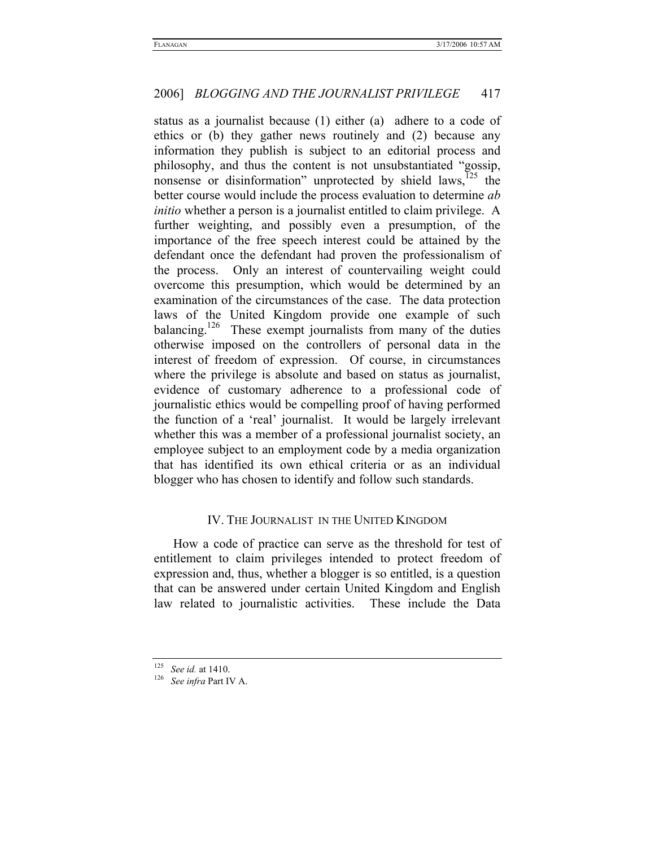status as a journalist because (1) either (a) adhere to a code of ethics or (b) they gather news routinely and (2) because any information they publish is subject to an editorial process and philosophy, and thus the content is not unsubstantiated "gossip, nonsense or disinformation" unprotected by shield  $laws$ ,  $125$  the better course would include the process evaluation to determine *ab initio* whether a person is a journalist entitled to claim privilege. A further weighting, and possibly even a presumption, of the importance of the free speech interest could be attained by the defendant once the defendant had proven the professionalism of the process. Only an interest of countervailing weight could overcome this presumption, which would be determined by an examination of the circumstances of the case. The data protection laws of the United Kingdom provide one example of such balancing.<sup>126</sup> These exempt journalists from many of the duties otherwise imposed on the controllers of personal data in the interest of freedom of expression. Of course, in circumstances where the privilege is absolute and based on status as journalist, evidence of customary adherence to a professional code of journalistic ethics would be compelling proof of having performed the function of a 'real' journalist. It would be largely irrelevant whether this was a member of a professional journalist society, an employee subject to an employment code by a media organization that has identified its own ethical criteria or as an individual blogger who has chosen to identify and follow such standards.

### IV. THE JOURNALIST IN THE UNITED KINGDOM

How a code of practice can serve as the threshold for test of entitlement to claim privileges intended to protect freedom of expression and, thus, whether a blogger is so entitled, is a question that can be answered under certain United Kingdom and English law related to journalistic activities. These include the Data

<sup>125</sup> *See id.* at 1410. 126 *See infra* Part IV A.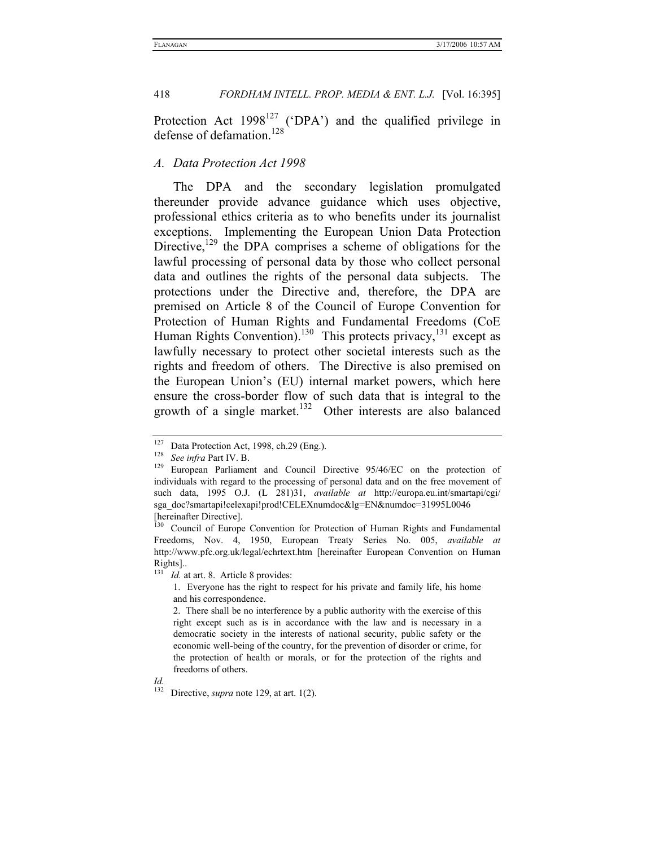Protection Act  $1998^{127}$  ('DPA') and the qualified privilege in defense of defamation.<sup>128</sup>

#### *A. Data Protection Act 1998*

The DPA and the secondary legislation promulgated thereunder provide advance guidance which uses objective, professional ethics criteria as to who benefits under its journalist exceptions. Implementing the European Union Data Protection Directive, $129$  the DPA comprises a scheme of obligations for the lawful processing of personal data by those who collect personal data and outlines the rights of the personal data subjects. The protections under the Directive and, therefore, the DPA are premised on Article 8 of the Council of Europe Convention for Protection of Human Rights and Fundamental Freedoms (CoE Human Rights Convention).<sup>130</sup> This protects privacy,<sup>131</sup> except as lawfully necessary to protect other societal interests such as the rights and freedom of others. The Directive is also premised on the European Union's (EU) internal market powers, which here ensure the cross-border flow of such data that is integral to the growth of a single market.<sup>132</sup> Other interests are also balanced

<sup>2.</sup> There shall be no interference by a public authority with the exercise of this right except such as is in accordance with the law and is necessary in a democratic society in the interests of national security, public safety or the economic well-being of the country, for the prevention of disorder or crime, for the protection of health or morals, or for the protection of the rights and freedoms of others.



Directive, *supra* note 129, at art. 1(2).

<sup>127</sup> Data Protection Act, 1998, ch.29 (Eng.). 128 *See infra* Part IV. B. 129 European Parliament and Council Directive 95/46/EC on the protection of individuals with regard to the processing of personal data and on the free movement of such data, 1995 O.J. (L 281)31, *available at* http://europa.eu.int/smartapi/cgi/ sga\_doc?smartapi!celexapi!prod!CELEXnumdoc&lg=EN&numdoc=31995L0046 [hereinafter Directive].

<sup>&</sup>lt;sup>130</sup> Council of Europe Convention for Protection of Human Rights and Fundamental Freedoms, Nov. 4, 1950, European Treaty Series No. 005, *available at* http://www.pfc.org.uk/legal/echrtext.htm [hereinafter European Convention on Human Rights]..

<sup>&</sup>lt;sup>131</sup> *Id.* at art. 8. Article 8 provides:

<sup>1.</sup> Everyone has the right to respect for his private and family life, his home and his correspondence.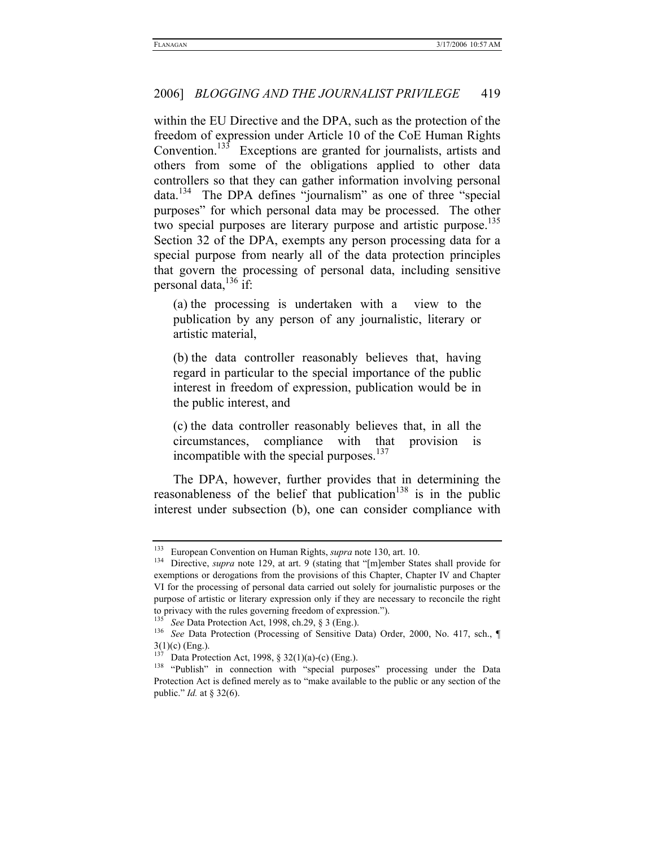within the EU Directive and the DPA, such as the protection of the freedom of expression under Article 10 of the CoE Human Rights Convention.<sup>133</sup> Exceptions are granted for journalists, artists and others from some of the obligations applied to other data controllers so that they can gather information involving personal  $data.<sup>134</sup>$  The DPA defines "journalism" as one of three "special purposes" for which personal data may be processed. The other two special purposes are literary purpose and artistic purpose.<sup>135</sup> Section 32 of the DPA, exempts any person processing data for a special purpose from nearly all of the data protection principles that govern the processing of personal data, including sensitive personal data, $^{136}$  if:

(a) the processing is undertaken with a view to the publication by any person of any journalistic, literary or artistic material,

(b) the data controller reasonably believes that, having regard in particular to the special importance of the public interest in freedom of expression, publication would be in the public interest, and

(c) the data controller reasonably believes that, in all the circumstances, compliance with that provision is incompatible with the special purposes. $137$ 

The DPA, however, further provides that in determining the reasonableness of the belief that publication<sup>138</sup> is in the public interest under subsection (b), one can consider compliance with

<sup>&</sup>lt;sup>133</sup> European Convention on Human Rights, *supra* note 130, art. 10.<br><sup>134</sup> Directive, *supra* note 129, at art. 9 (stating that "[m]ember States shall provide for exemptions or derogations from the provisions of this Chapter, Chapter IV and Chapter VI for the processing of personal data carried out solely for journalistic purposes or the purpose of artistic or literary expression only if they are necessary to reconcile the right to privacy with the rules governing freedom of expression.").<br><sup>135</sup> See Data Protection Act, 1998, ch.29, § 3 (Eng.).<br><sup>136</sup> See Data Protection (Processing of Sensitive Data) Order, 2000, No. 417, sch., ¶

 $3(1)(c)$  (Eng.).

<sup>&</sup>lt;sup>137</sup> Data Protection Act, 1998, § 32(1)(a)-(c) (Eng.).<br><sup>138</sup> "Publish" in connection with "special purposes" processing under the Data Protection Act is defined merely as to "make available to the public or any section of the public." *Id.* at § 32(6).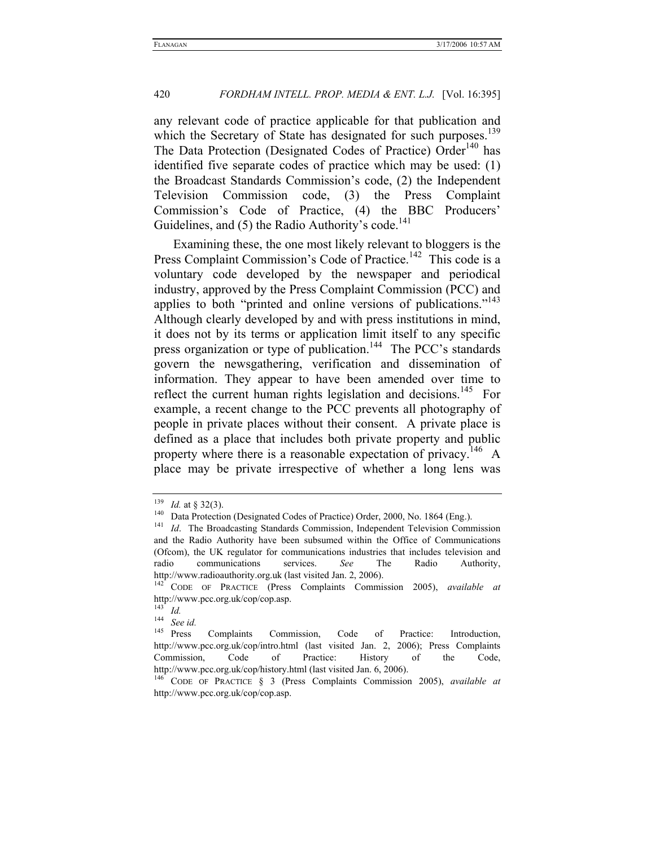any relevant code of practice applicable for that publication and which the Secretary of State has designated for such purposes.<sup>139</sup> The Data Protection (Designated Codes of Practice) Order<sup>140</sup> has identified five separate codes of practice which may be used: (1) the Broadcast Standards Commission's code, (2) the Independent Television Commission code, (3) the Press Complaint Commission's Code of Practice, (4) the BBC Producers' Guidelines, and  $(5)$  the Radio Authority's code.<sup>141</sup>

Examining these, the one most likely relevant to bloggers is the Press Complaint Commission's Code of Practice.<sup>142</sup> This code is a voluntary code developed by the newspaper and periodical industry, approved by the Press Complaint Commission (PCC) and applies to both "printed and online versions of publications."<sup>143</sup> Although clearly developed by and with press institutions in mind, it does not by its terms or application limit itself to any specific press organization or type of publication.<sup>144</sup> The PCC's standards govern the newsgathering, verification and dissemination of information. They appear to have been amended over time to reflect the current human rights legislation and decisions.<sup>145</sup> For example, a recent change to the PCC prevents all photography of people in private places without their consent. A private place is defined as a place that includes both private property and public property where there is a reasonable expectation of privacy.<sup>146</sup> A place may be private irrespective of whether a long lens was

<sup>&</sup>lt;sup>139</sup> *Id.* at § 32(3).<br><sup>140</sup> Data Protection (Designated Codes of Practice) Order, 2000, No. 1864 (Eng.).<br><sup>141</sup> *Id.* The Broadcasting Standards Commission, Independent Television Commission and the Radio Authority have been subsumed within the Office of Communications (Ofcom), the UK regulator for communications industries that includes television and radio communications services. *See* The Radio Authority,

http://www.radioauthority.org.uk (last visited Jan. 2, 2006). 142 CODE OF PRACTICE (Press Complaints Commission 2005), *available at*  http://www.pcc.org.uk/cop/cop.asp.

 $\frac{143}{144}$  *Id.* 

 $\frac{144}{145}$  *See id.*<br>Press Complaints Commission, Code of Practice: Introduction, http://www.pcc.org.uk/cop/intro.html (last visited Jan. 2, 2006); Press Complaints Commission, Code of Practice: History of the Code, http://www.pcc.org.uk/cop/history.html (last visited Jan. 6, 2006).

<sup>146</sup> CODE OF PRACTICE § 3 (Press Complaints Commission 2005), *available at*  http://www.pcc.org.uk/cop/cop.asp.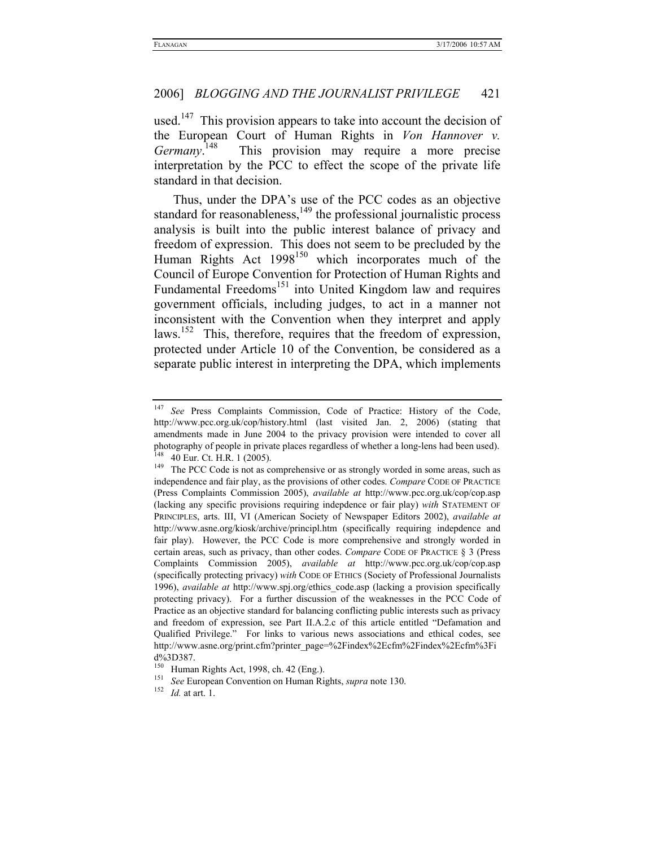used.<sup>147</sup> This provision appears to take into account the decision of the European Court of Human Rights in *Von Hannover v. Germany*. This provision may require a more precise interpretation by the PCC to effect the scope of the private life standard in that decision.

Thus, under the DPA's use of the PCC codes as an objective standard for reasonableness, $149$  the professional journalistic process analysis is built into the public interest balance of privacy and freedom of expression. This does not seem to be precluded by the Human Rights Act  $1998^{150}$  which incorporates much of the Council of Europe Convention for Protection of Human Rights and Fundamental Freedoms<sup>151</sup> into United Kingdom law and requires government officials, including judges, to act in a manner not inconsistent with the Convention when they interpret and apply laws.<sup>152</sup> This, therefore, requires that the freedom of expression, protected under Article 10 of the Convention, be considered as a separate public interest in interpreting the DPA, which implements

<sup>147</sup> *See* Press Complaints Commission, Code of Practice: History of the Code, http://www.pcc.org.uk/cop/history.html (last visited Jan. 2, 2006) (stating that amendments made in June 2004 to the privacy provision were intended to cover all photography of people in private places regardless of whether a long-lens had been used).<br><sup>148</sup> 40 Eur. Ct. H.R. 1 (2005).<br><sup>149</sup> The PCC Code is not as comprehensive or as strongly worded in some areas, such as

independence and fair play, as the provisions of other codes. *Compare* CODE OF PRACTICE (Press Complaints Commission 2005), *available at* http://www.pcc.org.uk/cop/cop.asp (lacking any specific provisions requiring indepdence or fair play) *with* STATEMENT OF PRINCIPLES, arts. III, VI (American Society of Newspaper Editors 2002), *available at* http://www.asne.org/kiosk/archive/principl.htm (specifically requiring indepdence and fair play). However, the PCC Code is more comprehensive and strongly worded in certain areas, such as privacy, than other codes. *Compare* CODE OF PRACTICE § 3 (Press Complaints Commission 2005), *available at* http://www.pcc.org.uk/cop/cop.asp (specifically protecting privacy) *with* CODE OF ETHICS (Society of Professional Journalists 1996), *available at* http://www.spj.org/ethics\_code.asp (lacking a provision specifically protecting privacy). For a further discussion of the weaknesses in the PCC Code of Practice as an objective standard for balancing conflicting public interests such as privacy and freedom of expression, see Part II.A.2.c of this article entitled "Defamation and Qualified Privilege." For links to various news associations and ethical codes, see http://www.asne.org/print.cfm?printer\_page=%2Findex%2Ecfm%2Findex%2Ecfm%3Fi

d%3D387.<br><sup>150</sup> Human Rights Act, 1998, ch. 42 (Eng.).

<sup>&</sup>lt;sup>151</sup> See European Convention on Human Rights, *supra* note 130.<br><sup>152</sup> *Id.* at art. 1.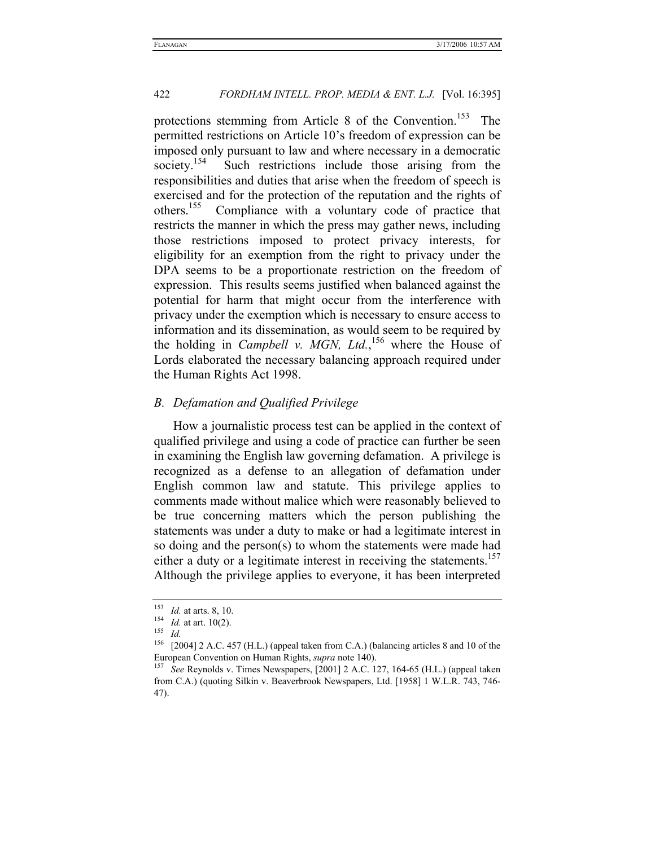protections stemming from Article 8 of the Convention.<sup>153</sup> The permitted restrictions on Article 10's freedom of expression can be imposed only pursuant to law and where necessary in a democratic society.<sup>154</sup> Such restrictions include those arising from the responsibilities and duties that arise when the freedom of speech is exercised and for the protection of the reputation and the rights of others.<sup>155</sup> Compliance with a voluntary code of practice that Compliance with a voluntary code of practice that restricts the manner in which the press may gather news, including those restrictions imposed to protect privacy interests, for eligibility for an exemption from the right to privacy under the DPA seems to be a proportionate restriction on the freedom of expression. This results seems justified when balanced against the potential for harm that might occur from the interference with privacy under the exemption which is necessary to ensure access to information and its dissemination, as would seem to be required by the holding in *Campbell v. MGN, Ltd.*, 156 where the House of Lords elaborated the necessary balancing approach required under the Human Rights Act 1998.

#### *B. Defamation and Qualified Privilege*

How a journalistic process test can be applied in the context of qualified privilege and using a code of practice can further be seen in examining the English law governing defamation. A privilege is recognized as a defense to an allegation of defamation under English common law and statute. This privilege applies to comments made without malice which were reasonably believed to be true concerning matters which the person publishing the statements was under a duty to make or had a legitimate interest in so doing and the person(s) to whom the statements were made had either a duty or a legitimate interest in receiving the statements.<sup>157</sup> Although the privilege applies to everyone, it has been interpreted

<sup>153</sup> *Id.* at arts. 8, 10. 154 *Id.* at art. 10(2). 155 *Id.*

<sup>156 [2004] 2</sup> A.C. 457 (H.L.) (appeal taken from C.A.) (balancing articles 8 and 10 of the European Convention on Human Rights, *supra* note 140).<br><sup>157</sup> See Reynolds v. Times Newspapers, [2001] 2 A.C. 127, 164-65 (H.L.) (appeal taken

from C.A.) (quoting Silkin v. Beaverbrook Newspapers, Ltd. [1958] 1 W.L.R. 743, 746- 47).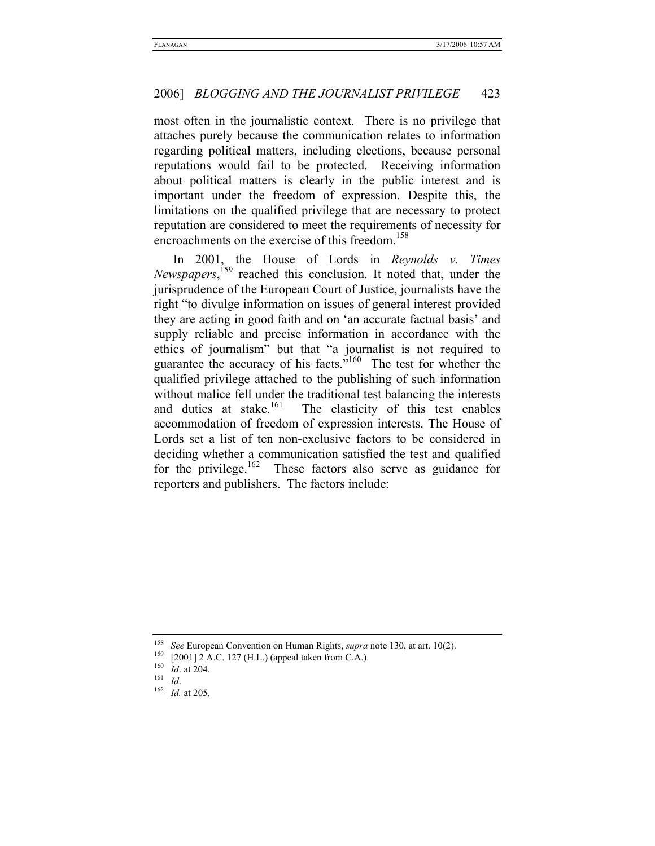most often in the journalistic context. There is no privilege that attaches purely because the communication relates to information regarding political matters, including elections, because personal reputations would fail to be protected. Receiving information about political matters is clearly in the public interest and is important under the freedom of expression. Despite this, the limitations on the qualified privilege that are necessary to protect reputation are considered to meet the requirements of necessity for encroachments on the exercise of this freedom.<sup>158</sup>

In 2001, the House of Lords in *Reynolds v. Times Newspapers*, 159 reached this conclusion. It noted that, under the jurisprudence of the European Court of Justice, journalists have the right "to divulge information on issues of general interest provided they are acting in good faith and on 'an accurate factual basis' and supply reliable and precise information in accordance with the ethics of journalism" but that "a journalist is not required to guarantee the accuracy of his facts."160 The test for whether the qualified privilege attached to the publishing of such information without malice fell under the traditional test balancing the interests and duties at stake.<sup>161</sup> The elasticity of this test enables The elasticity of this test enables. accommodation of freedom of expression interests. The House of Lords set a list of ten non-exclusive factors to be considered in deciding whether a communication satisfied the test and qualified for the privilege.<sup>162</sup> These factors also serve as guidance for reporters and publishers. The factors include:

<sup>158</sup> See European Convention on Human Rights, *supra* note 130, at art. 10(2).<br>
159 [2001] 2 A.C. 127 (H.L.) (appeal taken from C.A.).<br>
160 *Id.* at 204.<br>
162 *Id.* at 205.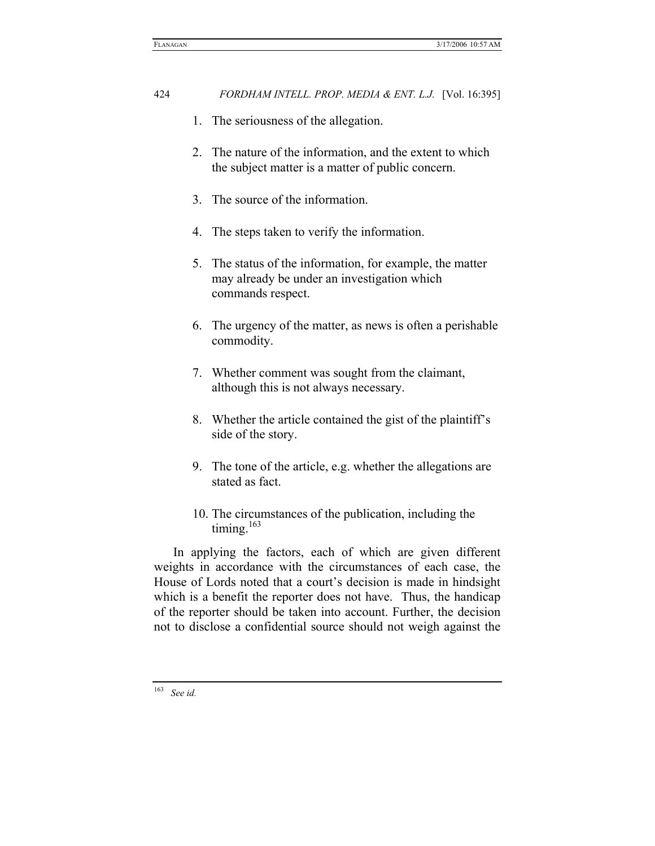- 1. The seriousness of the allegation.
- 2. The nature of the information, and the extent to which the subject matter is a matter of public concern.
- 3. The source of the information.
- 4. The steps taken to verify the information.
- 5. The status of the information, for example, the matter may already be under an investigation which commands respect.
- 6. The urgency of the matter, as news is often a perishable commodity.
- 7. Whether comment was sought from the claimant, although this is not always necessary.
- 8. Whether the article contained the gist of the plaintiff's side of the story.
- 9. The tone of the article, e.g. whether the allegations are stated as fact.
- 10. The circumstances of the publication, including the timing. $163$

In applying the factors, each of which are given different weights in accordance with the circumstances of each case, the House of Lords noted that a court's decision is made in hindsight which is a benefit the reporter does not have. Thus, the handicap of the reporter should be taken into account. Further, the decision not to disclose a confidential source should not weigh against the

<sup>163</sup> *See id.*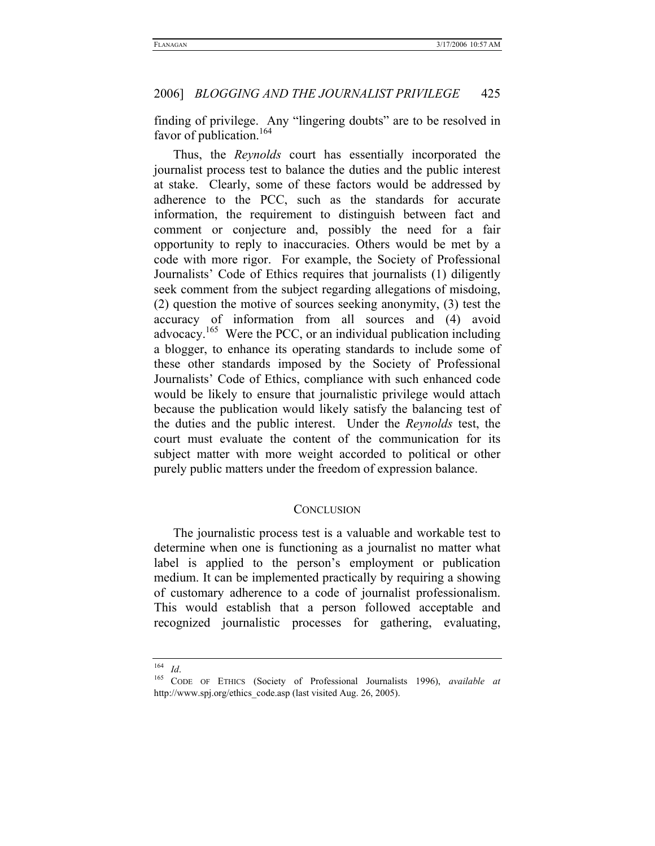finding of privilege. Any "lingering doubts" are to be resolved in favor of publication.<sup>164</sup>

Thus, the *Reynolds* court has essentially incorporated the journalist process test to balance the duties and the public interest at stake. Clearly, some of these factors would be addressed by adherence to the PCC, such as the standards for accurate information, the requirement to distinguish between fact and comment or conjecture and, possibly the need for a fair opportunity to reply to inaccuracies. Others would be met by a code with more rigor. For example, the Society of Professional Journalists' Code of Ethics requires that journalists (1) diligently seek comment from the subject regarding allegations of misdoing, (2) question the motive of sources seeking anonymity, (3) test the accuracy of information from all sources and (4) avoid advocacy.165 Were the PCC, or an individual publication including a blogger, to enhance its operating standards to include some of these other standards imposed by the Society of Professional Journalists' Code of Ethics, compliance with such enhanced code would be likely to ensure that journalistic privilege would attach because the publication would likely satisfy the balancing test of the duties and the public interest. Under the *Reynolds* test, the court must evaluate the content of the communication for its subject matter with more weight accorded to political or other purely public matters under the freedom of expression balance.

#### **CONCLUSION**

The journalistic process test is a valuable and workable test to determine when one is functioning as a journalist no matter what label is applied to the person's employment or publication medium. It can be implemented practically by requiring a showing of customary adherence to a code of journalist professionalism. This would establish that a person followed acceptable and recognized journalistic processes for gathering, evaluating,

<sup>164</sup> *Id*. 165 CODE OF ETHICS (Society of Professional Journalists 1996), *available at* http://www.spj.org/ethics\_code.asp (last visited Aug. 26, 2005).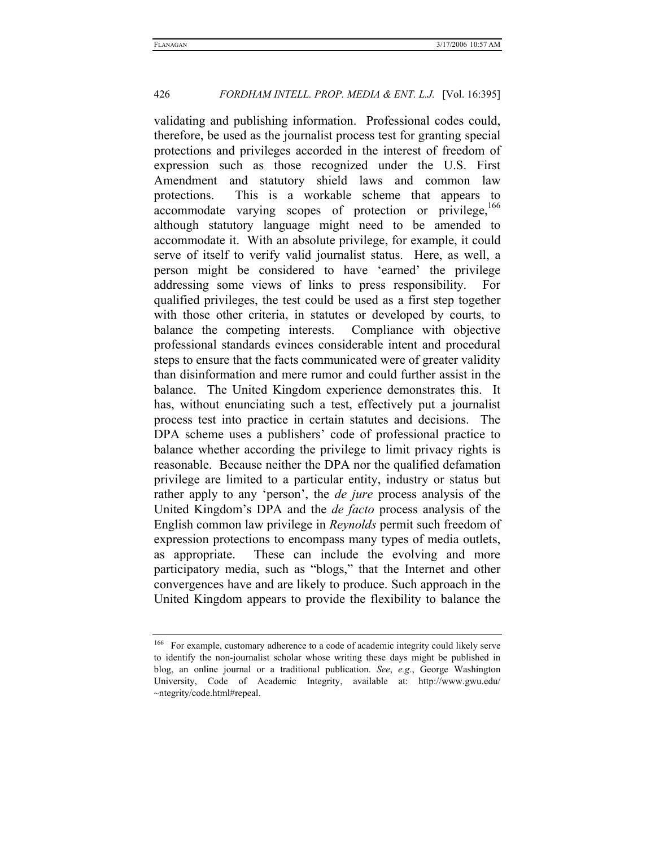validating and publishing information. Professional codes could, therefore, be used as the journalist process test for granting special protections and privileges accorded in the interest of freedom of expression such as those recognized under the U.S. First Amendment and statutory shield laws and common law protections. This is a workable scheme that appears to accommodate varying scopes of protection or privilege,<sup>166</sup> although statutory language might need to be amended to accommodate it. With an absolute privilege, for example, it could serve of itself to verify valid journalist status. Here, as well, a person might be considered to have 'earned' the privilege addressing some views of links to press responsibility. For qualified privileges, the test could be used as a first step together with those other criteria, in statutes or developed by courts, to balance the competing interests. Compliance with objective professional standards evinces considerable intent and procedural steps to ensure that the facts communicated were of greater validity than disinformation and mere rumor and could further assist in the balance. The United Kingdom experience demonstrates this. It has, without enunciating such a test, effectively put a journalist process test into practice in certain statutes and decisions. The DPA scheme uses a publishers' code of professional practice to balance whether according the privilege to limit privacy rights is reasonable. Because neither the DPA nor the qualified defamation privilege are limited to a particular entity, industry or status but rather apply to any 'person', the *de jure* process analysis of the United Kingdom's DPA and the *de facto* process analysis of the English common law privilege in *Reynolds* permit such freedom of expression protections to encompass many types of media outlets, as appropriate. These can include the evolving and more participatory media, such as "blogs," that the Internet and other convergences have and are likely to produce. Such approach in the United Kingdom appears to provide the flexibility to balance the

<sup>&</sup>lt;sup>166</sup> For example, customary adherence to a code of academic integrity could likely serve to identify the non-journalist scholar whose writing these days might be published in blog, an online journal or a traditional publication. *See*, *e.g*., George Washington University, Code of Academic Integrity, available at: http://www.gwu.edu/ ~ntegrity/code.html#repeal.